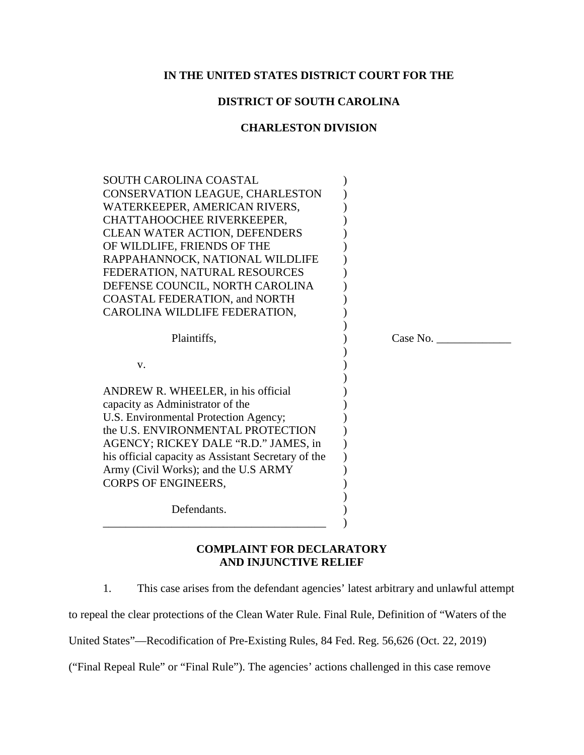# **IN THE UNITED STATES DISTRICT COURT FOR THE**

# **DISTRICT OF SOUTH CAROLINA**

## **CHARLESTON DIVISION**

| <b>SOUTH CAROLINA COASTAL</b><br>CONSERVATION LEAGUE, CHARLESTON<br>WATERKEEPER, AMERICAN RIVERS,<br>CHATTAHOOCHEE RIVERKEEPER,<br><b>CLEAN WATER ACTION, DEFENDERS</b><br>OF WILDLIFE, FRIENDS OF THE<br>RAPPAHANNOCK, NATIONAL WILDLIFE<br>FEDERATION, NATURAL RESOURCES<br>DEFENSE COUNCIL, NORTH CAROLINA<br><b>COASTAL FEDERATION, and NORTH</b><br>CAROLINA WILDLIFE FEDERATION, |          |
|----------------------------------------------------------------------------------------------------------------------------------------------------------------------------------------------------------------------------------------------------------------------------------------------------------------------------------------------------------------------------------------|----------|
| Plaintiffs,                                                                                                                                                                                                                                                                                                                                                                            | Case No. |
| V.                                                                                                                                                                                                                                                                                                                                                                                     |          |
| ANDREW R. WHEELER, in his official<br>capacity as Administrator of the<br>U.S. Environmental Protection Agency;<br>the U.S. ENVIRONMENTAL PROTECTION<br>AGENCY; RICKEY DALE "R.D." JAMES, in<br>his official capacity as Assistant Secretary of the<br>Army (Civil Works); and the U.S ARMY<br>CORPS OF ENGINEERS,                                                                     |          |
| Defendants.                                                                                                                                                                                                                                                                                                                                                                            |          |

# **COMPLAINT FOR DECLARATORY AND INJUNCTIVE RELIEF**

1. This case arises from the defendant agencies' latest arbitrary and unlawful attempt

to repeal the clear protections of the Clean Water Rule. Final Rule, Definition of "Waters of the

United States"—Recodification of Pre-Existing Rules, 84 Fed. Reg. 56,626 (Oct. 22, 2019)

("Final Repeal Rule" or "Final Rule"). The agencies' actions challenged in this case remove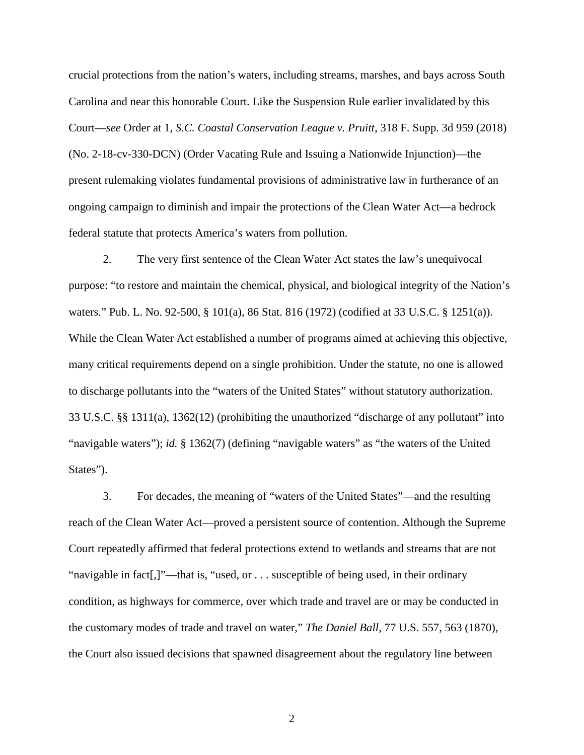crucial protections from the nation's waters, including streams, marshes, and bays across South Carolina and near this honorable Court. Like the Suspension Rule earlier invalidated by this Court—*see* Order at 1, *S.C. Coastal Conservation League v. Pruitt*, 318 F. Supp. 3d 959 (2018) (No. 2-18-cv-330-DCN) (Order Vacating Rule and Issuing a Nationwide Injunction)—the present rulemaking violates fundamental provisions of administrative law in furtherance of an ongoing campaign to diminish and impair the protections of the Clean Water Act—a bedrock federal statute that protects America's waters from pollution.

2. The very first sentence of the Clean Water Act states the law's unequivocal purpose: "to restore and maintain the chemical, physical, and biological integrity of the Nation's waters." Pub. L. No. 92-500, § 101(a), 86 Stat. 816 (1972) (codified at 33 U.S.C. § 1251(a)). While the Clean Water Act established a number of programs aimed at achieving this objective, many critical requirements depend on a single prohibition. Under the statute, no one is allowed to discharge pollutants into the "waters of the United States" without statutory authorization. 33 U.S.C. §§ 1311(a), 1362(12) (prohibiting the unauthorized "discharge of any pollutant" into "navigable waters"); *id.* § 1362(7) (defining "navigable waters" as "the waters of the United States").

3. For decades, the meaning of "waters of the United States"—and the resulting reach of the Clean Water Act—proved a persistent source of contention. Although the Supreme Court repeatedly affirmed that federal protections extend to wetlands and streams that are not "navigable in fact[,]"—that is, "used, or . . . susceptible of being used, in their ordinary condition, as highways for commerce, over which trade and travel are or may be conducted in the customary modes of trade and travel on water," *The Daniel Ball*, 77 U.S. 557, 563 (1870), the Court also issued decisions that spawned disagreement about the regulatory line between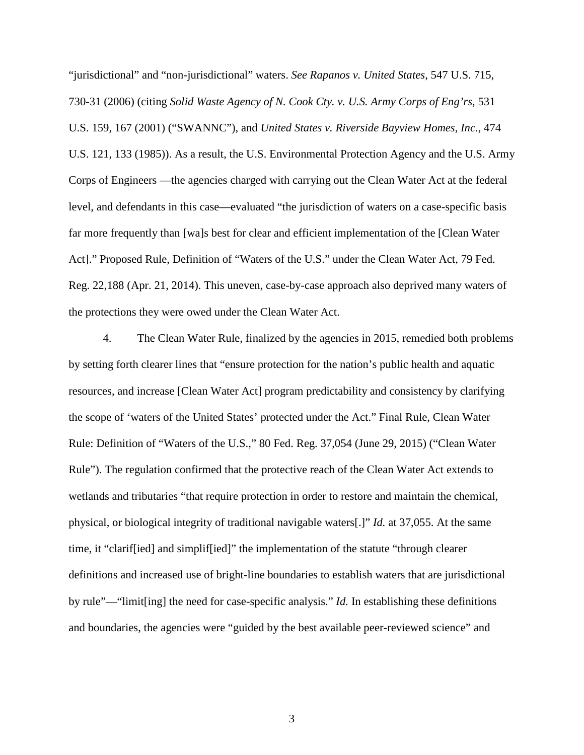"jurisdictional" and "non-jurisdictional" waters. *See Rapanos v. United States*, 547 U.S. 715, 730-31 (2006) (citing *Solid Waste Agency of N. Cook Cty. v. U.S. Army Corps of Eng'rs*, 531 U.S. 159, 167 (2001) ("SWANNC"), and *United States v. Riverside Bayview Homes, Inc.*, 474 U.S. 121, 133 (1985)). As a result, the U.S. Environmental Protection Agency and the U.S. Army Corps of Engineers —the agencies charged with carrying out the Clean Water Act at the federal level, and defendants in this case—evaluated "the jurisdiction of waters on a case-specific basis far more frequently than [wa]s best for clear and efficient implementation of the [Clean Water Act]." Proposed Rule, Definition of "Waters of the U.S." under the Clean Water Act, 79 Fed. Reg. 22,188 (Apr. 21, 2014). This uneven, case-by-case approach also deprived many waters of the protections they were owed under the Clean Water Act.

4. The Clean Water Rule, finalized by the agencies in 2015, remedied both problems by setting forth clearer lines that "ensure protection for the nation's public health and aquatic resources, and increase [Clean Water Act] program predictability and consistency by clarifying the scope of 'waters of the United States' protected under the Act." Final Rule, Clean Water Rule: Definition of "Waters of the U.S.," 80 Fed. Reg. 37,054 (June 29, 2015) ("Clean Water Rule"). The regulation confirmed that the protective reach of the Clean Water Act extends to wetlands and tributaries "that require protection in order to restore and maintain the chemical, physical, or biological integrity of traditional navigable waters[.]" *Id.* at 37,055. At the same time, it "clarif[ied] and simplif[ied]" the implementation of the statute "through clearer definitions and increased use of bright-line boundaries to establish waters that are jurisdictional by rule"—"limit[ing] the need for case-specific analysis." *Id.* In establishing these definitions and boundaries, the agencies were "guided by the best available peer-reviewed science" and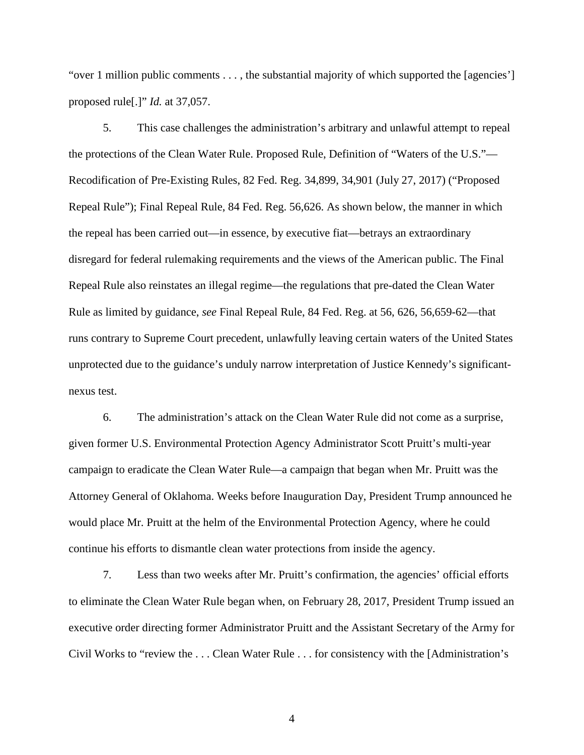"over 1 million public comments  $\dots$ , the substantial majority of which supported the [agencies'] proposed rule[.]" *Id.* at 37,057.

5. This case challenges the administration's arbitrary and unlawful attempt to repeal the protections of the Clean Water Rule. Proposed Rule, Definition of "Waters of the U.S."— Recodification of Pre-Existing Rules, 82 Fed. Reg. 34,899, 34,901 (July 27, 2017) ("Proposed Repeal Rule"); Final Repeal Rule, 84 Fed. Reg. 56,626. As shown below, the manner in which the repeal has been carried out—in essence, by executive fiat—betrays an extraordinary disregard for federal rulemaking requirements and the views of the American public. The Final Repeal Rule also reinstates an illegal regime—the regulations that pre-dated the Clean Water Rule as limited by guidance, *see* Final Repeal Rule, 84 Fed. Reg. at 56, 626, 56,659-62—that runs contrary to Supreme Court precedent, unlawfully leaving certain waters of the United States unprotected due to the guidance's unduly narrow interpretation of Justice Kennedy's significantnexus test.

6. The administration's attack on the Clean Water Rule did not come as a surprise, given former U.S. Environmental Protection Agency Administrator Scott Pruitt's multi-year campaign to eradicate the Clean Water Rule—a campaign that began when Mr. Pruitt was the Attorney General of Oklahoma. Weeks before Inauguration Day, President Trump announced he would place Mr. Pruitt at the helm of the Environmental Protection Agency, where he could continue his efforts to dismantle clean water protections from inside the agency.

7. Less than two weeks after Mr. Pruitt's confirmation, the agencies' official efforts to eliminate the Clean Water Rule began when, on February 28, 2017, President Trump issued an executive order directing former Administrator Pruitt and the Assistant Secretary of the Army for Civil Works to "review the . . . Clean Water Rule . . . for consistency with the [Administration's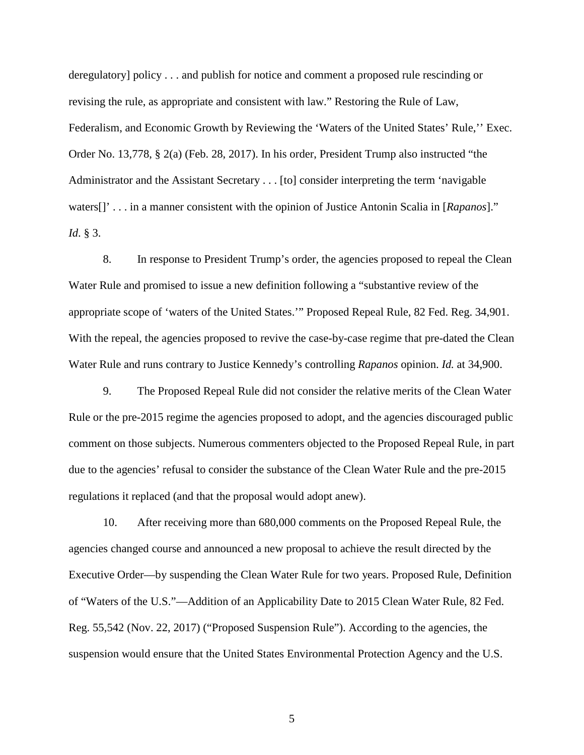deregulatory] policy . . . and publish for notice and comment a proposed rule rescinding or revising the rule, as appropriate and consistent with law." Restoring the Rule of Law, Federalism, and Economic Growth by Reviewing the 'Waters of the United States' Rule,'' Exec. Order No. 13,778, § 2(a) (Feb. 28, 2017). In his order, President Trump also instructed "the Administrator and the Assistant Secretary . . . [to] consider interpreting the term 'navigable waters[]' . . . in a manner consistent with the opinion of Justice Antonin Scalia in [*Rapanos*]." *Id*. § 3.

8. In response to President Trump's order, the agencies proposed to repeal the Clean Water Rule and promised to issue a new definition following a "substantive review of the appropriate scope of 'waters of the United States.'" Proposed Repeal Rule, 82 Fed. Reg. 34,901. With the repeal, the agencies proposed to revive the case-by-case regime that pre-dated the Clean Water Rule and runs contrary to Justice Kennedy's controlling *Rapanos* opinion. *Id.* at 34,900.

9. The Proposed Repeal Rule did not consider the relative merits of the Clean Water Rule or the pre-2015 regime the agencies proposed to adopt, and the agencies discouraged public comment on those subjects. Numerous commenters objected to the Proposed Repeal Rule, in part due to the agencies' refusal to consider the substance of the Clean Water Rule and the pre-2015 regulations it replaced (and that the proposal would adopt anew).

10. After receiving more than 680,000 comments on the Proposed Repeal Rule, the agencies changed course and announced a new proposal to achieve the result directed by the Executive Order—by suspending the Clean Water Rule for two years. Proposed Rule, Definition of "Waters of the U.S."—Addition of an Applicability Date to 2015 Clean Water Rule, 82 Fed. Reg. 55,542 (Nov. 22, 2017) ("Proposed Suspension Rule"). According to the agencies, the suspension would ensure that the United States Environmental Protection Agency and the U.S.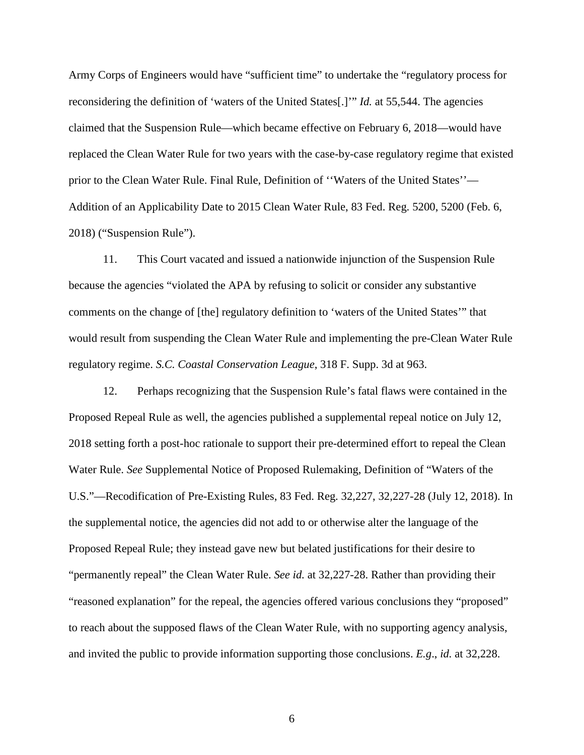Army Corps of Engineers would have "sufficient time" to undertake the "regulatory process for reconsidering the definition of 'waters of the United States[.]'" *Id.* at 55,544. The agencies claimed that the Suspension Rule—which became effective on February 6, 2018—would have replaced the Clean Water Rule for two years with the case-by-case regulatory regime that existed prior to the Clean Water Rule. Final Rule, Definition of ''Waters of the United States''— Addition of an Applicability Date to 2015 Clean Water Rule, 83 Fed. Reg. 5200, 5200 (Feb. 6, 2018) ("Suspension Rule").

11. This Court vacated and issued a nationwide injunction of the Suspension Rule because the agencies "violated the APA by refusing to solicit or consider any substantive comments on the change of [the] regulatory definition to 'waters of the United States'" that would result from suspending the Clean Water Rule and implementing the pre-Clean Water Rule regulatory regime. *S.C. Coastal Conservation League*, 318 F. Supp. 3d at 963.

12. Perhaps recognizing that the Suspension Rule's fatal flaws were contained in the Proposed Repeal Rule as well, the agencies published a supplemental repeal notice on July 12, 2018 setting forth a post-hoc rationale to support their pre-determined effort to repeal the Clean Water Rule. *See* Supplemental Notice of Proposed Rulemaking, Definition of "Waters of the U.S."—Recodification of Pre-Existing Rules, 83 Fed. Reg. 32,227, 32,227-28 (July 12, 2018). In the supplemental notice, the agencies did not add to or otherwise alter the language of the Proposed Repeal Rule; they instead gave new but belated justifications for their desire to "permanently repeal" the Clean Water Rule. *See id.* at 32,227-28. Rather than providing their "reasoned explanation" for the repeal, the agencies offered various conclusions they "proposed" to reach about the supposed flaws of the Clean Water Rule, with no supporting agency analysis, and invited the public to provide information supporting those conclusions. *E.g*., *id.* at 32,228.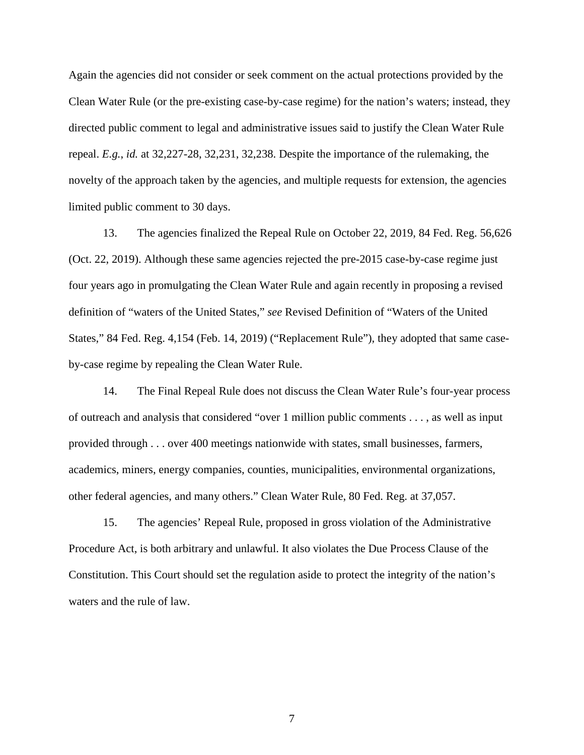Again the agencies did not consider or seek comment on the actual protections provided by the Clean Water Rule (or the pre-existing case-by-case regime) for the nation's waters; instead, they directed public comment to legal and administrative issues said to justify the Clean Water Rule repeal. *E.g.*, *id.* at 32,227-28, 32,231, 32,238. Despite the importance of the rulemaking, the novelty of the approach taken by the agencies, and multiple requests for extension, the agencies limited public comment to 30 days.

13. The agencies finalized the Repeal Rule on October 22, 2019, 84 Fed. Reg. 56,626 (Oct. 22, 2019). Although these same agencies rejected the pre-2015 case-by-case regime just four years ago in promulgating the Clean Water Rule and again recently in proposing a revised definition of "waters of the United States," *see* Revised Definition of "Waters of the United States," 84 Fed. Reg. 4,154 (Feb. 14, 2019) ("Replacement Rule"), they adopted that same caseby-case regime by repealing the Clean Water Rule.

14. The Final Repeal Rule does not discuss the Clean Water Rule's four-year process of outreach and analysis that considered "over 1 million public comments . . . , as well as input provided through . . . over 400 meetings nationwide with states, small businesses, farmers, academics, miners, energy companies, counties, municipalities, environmental organizations, other federal agencies, and many others." Clean Water Rule, 80 Fed. Reg. at 37,057.

15. The agencies' Repeal Rule, proposed in gross violation of the Administrative Procedure Act, is both arbitrary and unlawful. It also violates the Due Process Clause of the Constitution. This Court should set the regulation aside to protect the integrity of the nation's waters and the rule of law.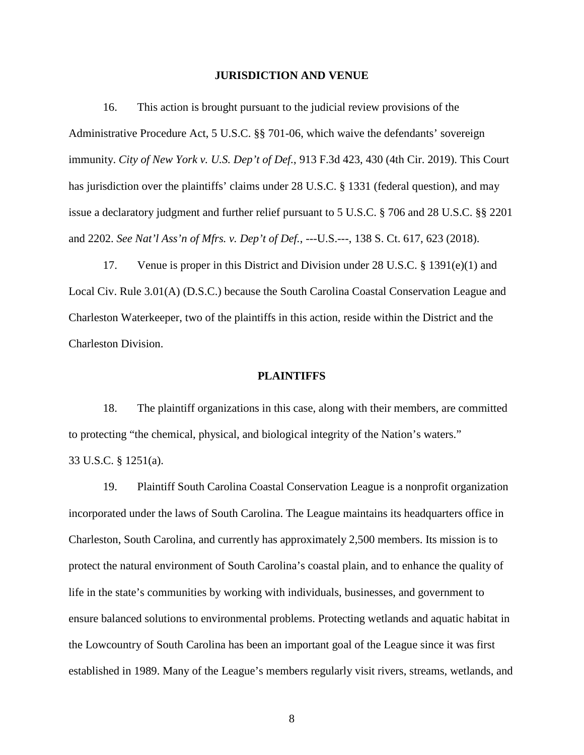#### **JURISDICTION AND VENUE**

16. This action is brought pursuant to the judicial review provisions of the Administrative Procedure Act, 5 U.S.C. §§ 701-06, which waive the defendants' sovereign immunity. *City of New York v. U.S. Dep't of Def.*, 913 F.3d 423, 430 (4th Cir. 2019). This Court has jurisdiction over the plaintiffs' claims under 28 U.S.C. § 1331 (federal question), and may issue a declaratory judgment and further relief pursuant to 5 U.S.C. § 706 and 28 U.S.C. §§ 2201 and 2202. *See Nat'l Ass'n of Mfrs. v. Dep't of Def.*, ---U.S.---, 138 S. Ct. 617, 623 (2018).

17. Venue is proper in this District and Division under 28 U.S.C. § 1391(e)(1) and Local Civ. Rule 3.01(A) (D.S.C.) because the South Carolina Coastal Conservation League and Charleston Waterkeeper, two of the plaintiffs in this action, reside within the District and the Charleston Division.

#### **PLAINTIFFS**

18. The plaintiff organizations in this case, along with their members, are committed to protecting "the chemical, physical, and biological integrity of the Nation's waters." 33 U.S.C. § 1251(a).

19. Plaintiff South Carolina Coastal Conservation League is a nonprofit organization incorporated under the laws of South Carolina. The League maintains its headquarters office in Charleston, South Carolina, and currently has approximately 2,500 members. Its mission is to protect the natural environment of South Carolina's coastal plain, and to enhance the quality of life in the state's communities by working with individuals, businesses, and government to ensure balanced solutions to environmental problems. Protecting wetlands and aquatic habitat in the Lowcountry of South Carolina has been an important goal of the League since it was first established in 1989. Many of the League's members regularly visit rivers, streams, wetlands, and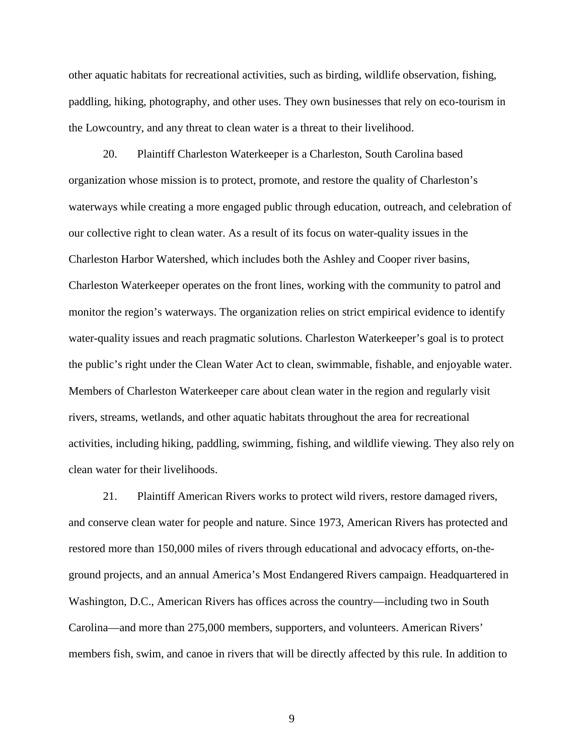other aquatic habitats for recreational activities, such as birding, wildlife observation, fishing, paddling, hiking, photography, and other uses. They own businesses that rely on eco-tourism in the Lowcountry, and any threat to clean water is a threat to their livelihood.

20. Plaintiff Charleston Waterkeeper is a Charleston, South Carolina based organization whose mission is to protect, promote, and restore the quality of Charleston's waterways while creating a more engaged public through education, outreach, and celebration of our collective right to clean water. As a result of its focus on water-quality issues in the Charleston Harbor Watershed, which includes both the Ashley and Cooper river basins, Charleston Waterkeeper operates on the front lines, working with the community to patrol and monitor the region's waterways. The organization relies on strict empirical evidence to identify water-quality issues and reach pragmatic solutions. Charleston Waterkeeper's goal is to protect the public's right under the Clean Water Act to clean, swimmable, fishable, and enjoyable water. Members of Charleston Waterkeeper care about clean water in the region and regularly visit rivers, streams, wetlands, and other aquatic habitats throughout the area for recreational activities, including hiking, paddling, swimming, fishing, and wildlife viewing. They also rely on clean water for their livelihoods.

21. Plaintiff American Rivers works to protect wild rivers, restore damaged rivers, and conserve clean water for people and nature. Since 1973, American Rivers has protected and restored more than 150,000 miles of rivers through educational and advocacy efforts, on-theground projects, and an annual America's Most Endangered Rivers campaign. Headquartered in Washington, D.C., American Rivers has offices across the country—including two in South Carolina—and more than 275,000 members, supporters, and volunteers. American Rivers' members fish, swim, and canoe in rivers that will be directly affected by this rule. In addition to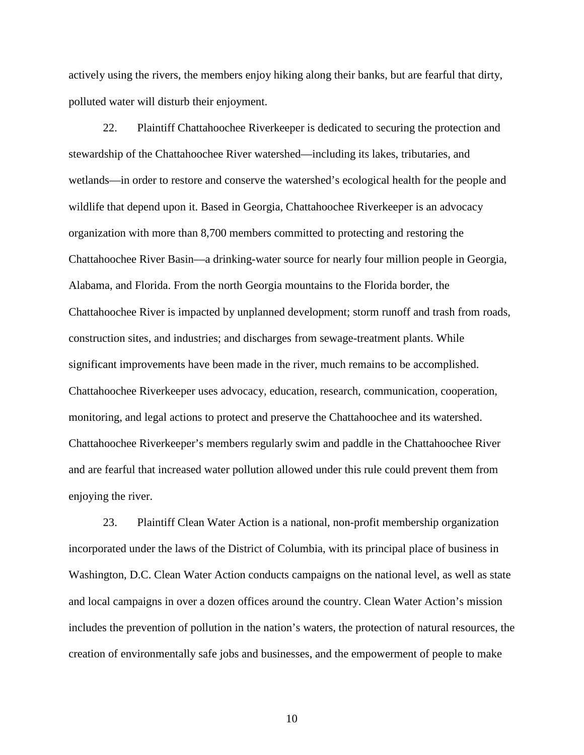actively using the rivers, the members enjoy hiking along their banks, but are fearful that dirty, polluted water will disturb their enjoyment.

22. Plaintiff Chattahoochee Riverkeeper is dedicated to securing the protection and stewardship of the Chattahoochee River watershed—including its lakes, tributaries, and wetlands—in order to restore and conserve the watershed's ecological health for the people and wildlife that depend upon it. Based in Georgia, Chattahoochee Riverkeeper is an advocacy organization with more than 8,700 members committed to protecting and restoring the Chattahoochee River Basin—a drinking-water source for nearly four million people in Georgia, Alabama, and Florida. From the north Georgia mountains to the Florida border, the Chattahoochee River is impacted by unplanned development; storm runoff and trash from roads, construction sites, and industries; and discharges from sewage-treatment plants. While significant improvements have been made in the river, much remains to be accomplished. Chattahoochee Riverkeeper uses advocacy, education, research, communication, cooperation, monitoring, and legal actions to protect and preserve the Chattahoochee and its watershed. Chattahoochee Riverkeeper's members regularly swim and paddle in the Chattahoochee River and are fearful that increased water pollution allowed under this rule could prevent them from enjoying the river.

23. Plaintiff Clean Water Action is a national, non-profit membership organization incorporated under the laws of the District of Columbia, with its principal place of business in Washington, D.C. Clean Water Action conducts campaigns on the national level, as well as state and local campaigns in over a dozen offices around the country. Clean Water Action's mission includes the prevention of pollution in the nation's waters, the protection of natural resources, the creation of environmentally safe jobs and businesses, and the empowerment of people to make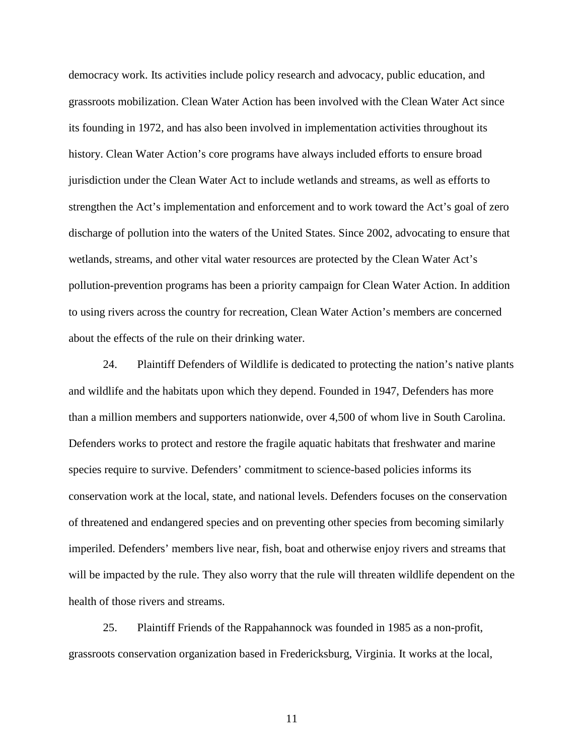democracy work. Its activities include policy research and advocacy, public education, and grassroots mobilization. Clean Water Action has been involved with the Clean Water Act since its founding in 1972, and has also been involved in implementation activities throughout its history. Clean Water Action's core programs have always included efforts to ensure broad jurisdiction under the Clean Water Act to include wetlands and streams, as well as efforts to strengthen the Act's implementation and enforcement and to work toward the Act's goal of zero discharge of pollution into the waters of the United States. Since 2002, advocating to ensure that wetlands, streams, and other vital water resources are protected by the Clean Water Act's pollution-prevention programs has been a priority campaign for Clean Water Action. In addition to using rivers across the country for recreation, Clean Water Action's members are concerned about the effects of the rule on their drinking water.

24. Plaintiff Defenders of Wildlife is dedicated to protecting the nation's native plants and wildlife and the habitats upon which they depend. Founded in 1947, Defenders has more than a million members and supporters nationwide, over 4,500 of whom live in South Carolina. Defenders works to protect and restore the fragile aquatic habitats that freshwater and marine species require to survive. Defenders' commitment to science-based policies informs its conservation work at the local, state, and national levels. Defenders focuses on the conservation of threatened and endangered species and on preventing other species from becoming similarly imperiled. Defenders' members live near, fish, boat and otherwise enjoy rivers and streams that will be impacted by the rule. They also worry that the rule will threaten wildlife dependent on the health of those rivers and streams.

25. Plaintiff Friends of the Rappahannock was founded in 1985 as a non-profit, grassroots conservation organization based in Fredericksburg, Virginia. It works at the local,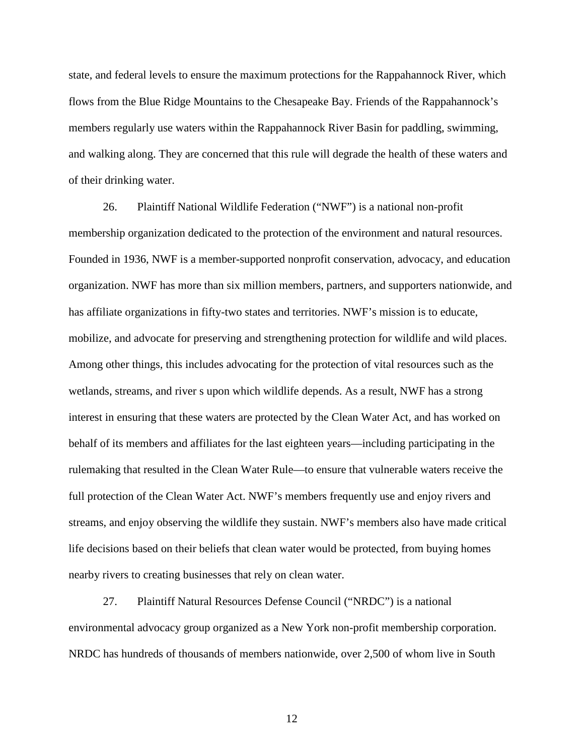state, and federal levels to ensure the maximum protections for the Rappahannock River, which flows from the Blue Ridge Mountains to the Chesapeake Bay. Friends of the Rappahannock's members regularly use waters within the Rappahannock River Basin for paddling, swimming, and walking along. They are concerned that this rule will degrade the health of these waters and of their drinking water.

26. Plaintiff National Wildlife Federation ("NWF") is a national non-profit membership organization dedicated to the protection of the environment and natural resources. Founded in 1936, NWF is a member-supported nonprofit conservation, advocacy, and education organization. NWF has more than six million members, partners, and supporters nationwide, and has affiliate organizations in fifty-two states and territories. NWF's mission is to educate, mobilize, and advocate for preserving and strengthening protection for wildlife and wild places. Among other things, this includes advocating for the protection of vital resources such as the wetlands, streams, and river s upon which wildlife depends. As a result, NWF has a strong interest in ensuring that these waters are protected by the Clean Water Act, and has worked on behalf of its members and affiliates for the last eighteen years—including participating in the rulemaking that resulted in the Clean Water Rule—to ensure that vulnerable waters receive the full protection of the Clean Water Act. NWF's members frequently use and enjoy rivers and streams, and enjoy observing the wildlife they sustain. NWF's members also have made critical life decisions based on their beliefs that clean water would be protected, from buying homes nearby rivers to creating businesses that rely on clean water.

27. Plaintiff Natural Resources Defense Council ("NRDC") is a national environmental advocacy group organized as a New York non-profit membership corporation. NRDC has hundreds of thousands of members nationwide, over 2,500 of whom live in South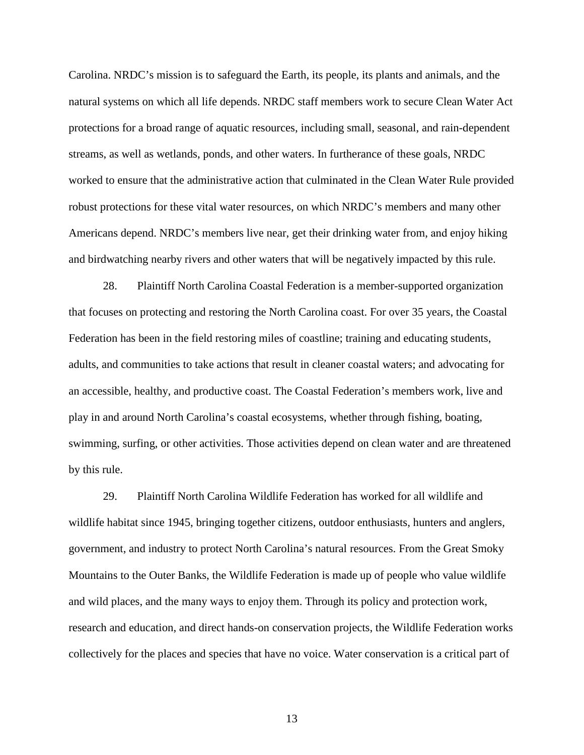Carolina. NRDC's mission is to safeguard the Earth, its people, its plants and animals, and the natural systems on which all life depends. NRDC staff members work to secure Clean Water Act protections for a broad range of aquatic resources, including small, seasonal, and rain-dependent streams, as well as wetlands, ponds, and other waters. In furtherance of these goals, NRDC worked to ensure that the administrative action that culminated in the Clean Water Rule provided robust protections for these vital water resources, on which NRDC's members and many other Americans depend. NRDC's members live near, get their drinking water from, and enjoy hiking and birdwatching nearby rivers and other waters that will be negatively impacted by this rule.

28. Plaintiff North Carolina Coastal Federation is a member-supported organization that focuses on protecting and restoring the North Carolina coast. For over 35 years, the Coastal Federation has been in the field restoring miles of coastline; training and educating students, adults, and communities to take actions that result in cleaner coastal waters; and advocating for an accessible, healthy, and productive coast. The Coastal Federation's members work, live and play in and around North Carolina's coastal ecosystems, whether through fishing, boating, swimming, surfing, or other activities. Those activities depend on clean water and are threatened by this rule.

29. Plaintiff North Carolina Wildlife Federation has worked for all wildlife and wildlife habitat since 1945, bringing together citizens, outdoor enthusiasts, hunters and anglers, government, and industry to protect North Carolina's natural resources. From the Great Smoky Mountains to the Outer Banks, the Wildlife Federation is made up of people who value wildlife and wild places, and the many ways to enjoy them. Through its policy and protection work, research and education, and direct hands-on conservation projects, the Wildlife Federation works collectively for the places and species that have no voice. Water conservation is a critical part of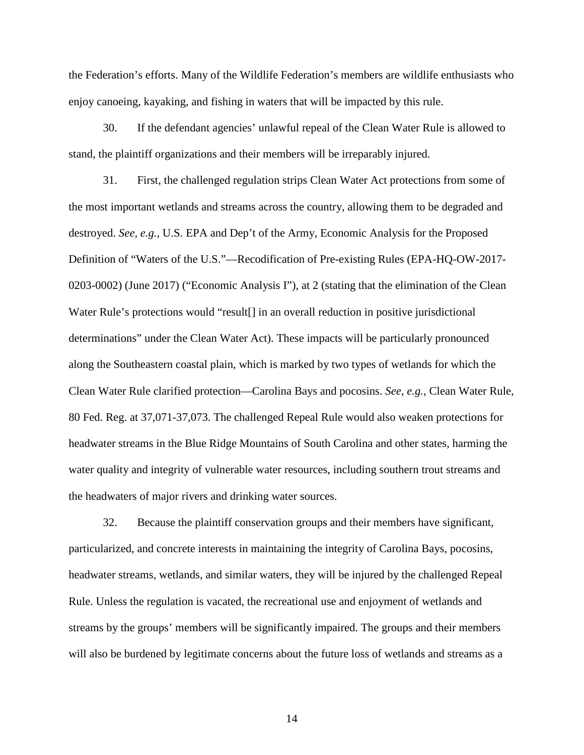the Federation's efforts. Many of the Wildlife Federation's members are wildlife enthusiasts who enjoy canoeing, kayaking, and fishing in waters that will be impacted by this rule.

30. If the defendant agencies' unlawful repeal of the Clean Water Rule is allowed to stand, the plaintiff organizations and their members will be irreparably injured.

31. First, the challenged regulation strips Clean Water Act protections from some of the most important wetlands and streams across the country, allowing them to be degraded and destroyed. *See, e.g.*, U.S. EPA and Dep't of the Army, Economic Analysis for the Proposed Definition of "Waters of the U.S."—Recodification of Pre-existing Rules (EPA-HQ-OW-2017- 0203-0002) (June 2017) ("Economic Analysis I"), at 2 (stating that the elimination of the Clean Water Rule's protections would "result<sup>[]</sup> in an overall reduction in positive jurisdictional determinations" under the Clean Water Act). These impacts will be particularly pronounced along the Southeastern coastal plain, which is marked by two types of wetlands for which the Clean Water Rule clarified protection—Carolina Bays and pocosins. *See, e.g.*, Clean Water Rule, 80 Fed. Reg. at 37,071-37,073. The challenged Repeal Rule would also weaken protections for headwater streams in the Blue Ridge Mountains of South Carolina and other states, harming the water quality and integrity of vulnerable water resources, including southern trout streams and the headwaters of major rivers and drinking water sources.

32. Because the plaintiff conservation groups and their members have significant, particularized, and concrete interests in maintaining the integrity of Carolina Bays, pocosins, headwater streams, wetlands, and similar waters, they will be injured by the challenged Repeal Rule. Unless the regulation is vacated, the recreational use and enjoyment of wetlands and streams by the groups' members will be significantly impaired. The groups and their members will also be burdened by legitimate concerns about the future loss of wetlands and streams as a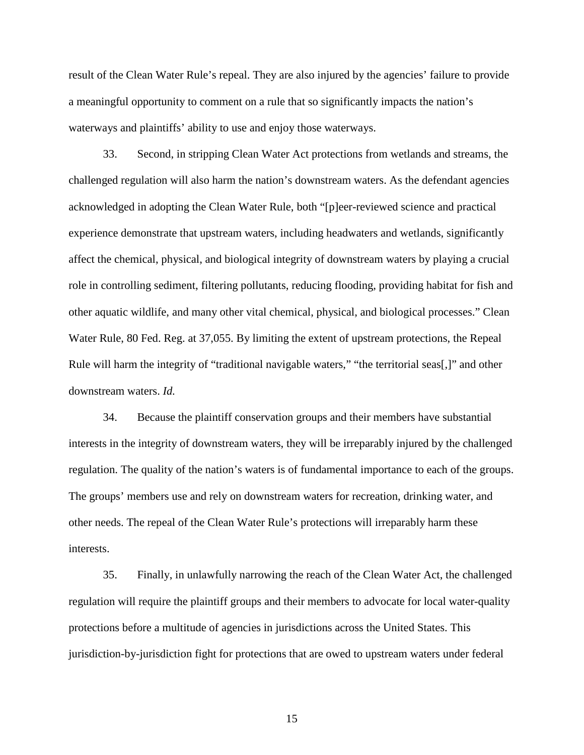result of the Clean Water Rule's repeal. They are also injured by the agencies' failure to provide a meaningful opportunity to comment on a rule that so significantly impacts the nation's waterways and plaintiffs' ability to use and enjoy those waterways.

33. Second, in stripping Clean Water Act protections from wetlands and streams, the challenged regulation will also harm the nation's downstream waters. As the defendant agencies acknowledged in adopting the Clean Water Rule, both "[p]eer-reviewed science and practical experience demonstrate that upstream waters, including headwaters and wetlands, significantly affect the chemical, physical, and biological integrity of downstream waters by playing a crucial role in controlling sediment, filtering pollutants, reducing flooding, providing habitat for fish and other aquatic wildlife, and many other vital chemical, physical, and biological processes." Clean Water Rule, 80 Fed. Reg. at 37,055. By limiting the extent of upstream protections, the Repeal Rule will harm the integrity of "traditional navigable waters," "the territorial seas[,]" and other downstream waters. *Id.*

34. Because the plaintiff conservation groups and their members have substantial interests in the integrity of downstream waters, they will be irreparably injured by the challenged regulation. The quality of the nation's waters is of fundamental importance to each of the groups. The groups' members use and rely on downstream waters for recreation, drinking water, and other needs. The repeal of the Clean Water Rule's protections will irreparably harm these interests.

35. Finally, in unlawfully narrowing the reach of the Clean Water Act, the challenged regulation will require the plaintiff groups and their members to advocate for local water-quality protections before a multitude of agencies in jurisdictions across the United States. This jurisdiction-by-jurisdiction fight for protections that are owed to upstream waters under federal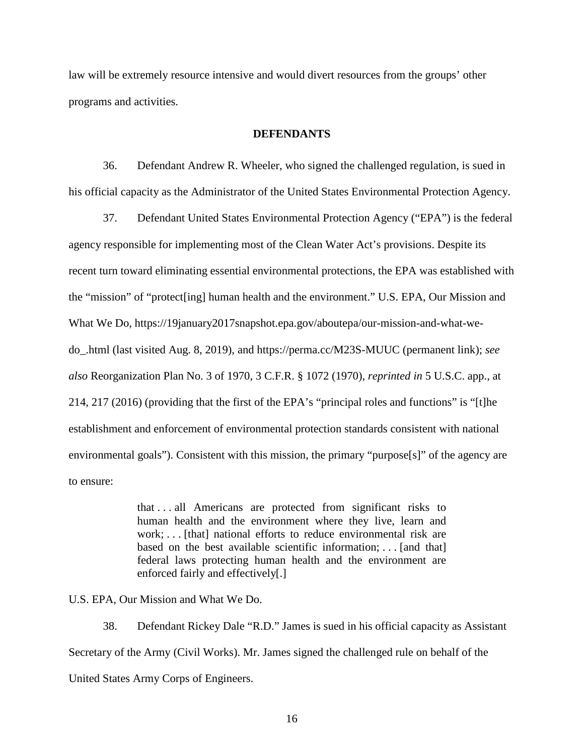law will be extremely resource intensive and would divert resources from the groups' other programs and activities.

#### **DEFENDANTS**

36. Defendant Andrew R. Wheeler, who signed the challenged regulation, is sued in his official capacity as the Administrator of the United States Environmental Protection Agency.

37. Defendant United States Environmental Protection Agency ("EPA") is the federal agency responsible for implementing most of the Clean Water Act's provisions. Despite its recent turn toward eliminating essential environmental protections, the EPA was established with the "mission" of "protect[ing] human health and the environment." U.S. EPA, Our Mission and What We Do, https://19january2017snapshot.epa.gov/aboutepa/our-mission-and-what-wedo\_.html (last visited Aug. 8, 2019), and https://perma.cc/M23S-MUUC (permanent link); *see also* Reorganization Plan No. 3 of 1970, 3 C.F.R. § 1072 (1970), *reprinted in* 5 U.S.C. app., at 214, 217 (2016) (providing that the first of the EPA's "principal roles and functions" is "[t]he establishment and enforcement of environmental protection standards consistent with national environmental goals"). Consistent with this mission, the primary "purpose[s]" of the agency are to ensure:

> that . . . all Americans are protected from significant risks to human health and the environment where they live, learn and work; ... [that] national efforts to reduce environmental risk are based on the best available scientific information; . . . [and that] federal laws protecting human health and the environment are enforced fairly and effectively[.]

U.S. EPA, Our Mission and What We Do.

38. Defendant Rickey Dale "R.D." James is sued in his official capacity as Assistant Secretary of the Army (Civil Works). Mr. James signed the challenged rule on behalf of the United States Army Corps of Engineers.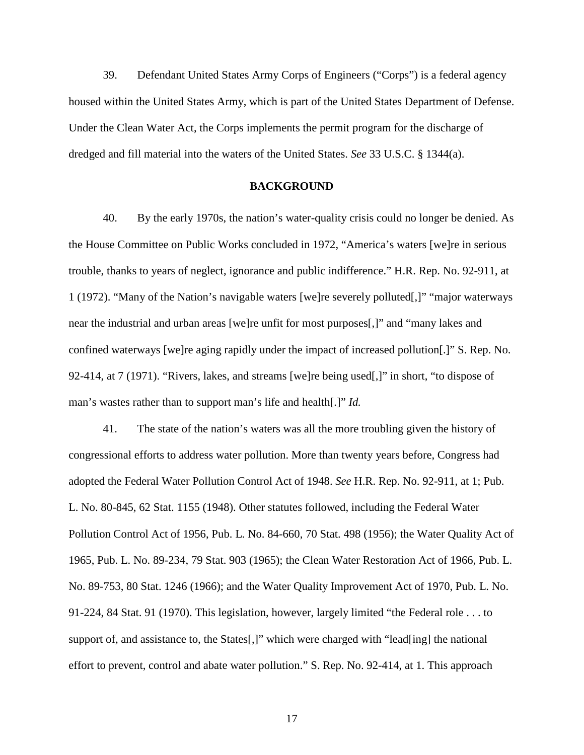39. Defendant United States Army Corps of Engineers ("Corps") is a federal agency housed within the United States Army, which is part of the United States Department of Defense. Under the Clean Water Act, the Corps implements the permit program for the discharge of dredged and fill material into the waters of the United States. *See* 33 U.S.C. § 1344(a).

#### **BACKGROUND**

40. By the early 1970s, the nation's water-quality crisis could no longer be denied. As the House Committee on Public Works concluded in 1972, "America's waters [we]re in serious trouble, thanks to years of neglect, ignorance and public indifference." H.R. Rep. No. 92-911, at 1 (1972). "Many of the Nation's navigable waters [we]re severely polluted[,]" "major waterways near the industrial and urban areas [we]re unfit for most purposes[,]" and "many lakes and confined waterways [we]re aging rapidly under the impact of increased pollution[.]" S. Rep. No. 92-414, at 7 (1971). "Rivers, lakes, and streams [we]re being used[,]" in short, "to dispose of man's wastes rather than to support man's life and health[.]" *Id.*

41. The state of the nation's waters was all the more troubling given the history of congressional efforts to address water pollution. More than twenty years before, Congress had adopted the Federal Water Pollution Control Act of 1948. *See* H.R. Rep. No. 92-911, at 1; Pub. L. No. 80-845, 62 Stat. 1155 (1948). Other statutes followed, including the Federal Water Pollution Control Act of 1956, Pub. L. No. 84-660, 70 Stat. 498 (1956); the Water Quality Act of 1965, Pub. L. No. 89-234, 79 Stat. 903 (1965); the Clean Water Restoration Act of 1966, Pub. L. No. 89-753, 80 Stat. 1246 (1966); and the Water Quality Improvement Act of 1970, Pub. L. No. 91-224, 84 Stat. 91 (1970). This legislation, however, largely limited "the Federal role . . . to support of, and assistance to, the States[,]" which were charged with "lead[ing] the national effort to prevent, control and abate water pollution." S. Rep. No. 92-414, at 1. This approach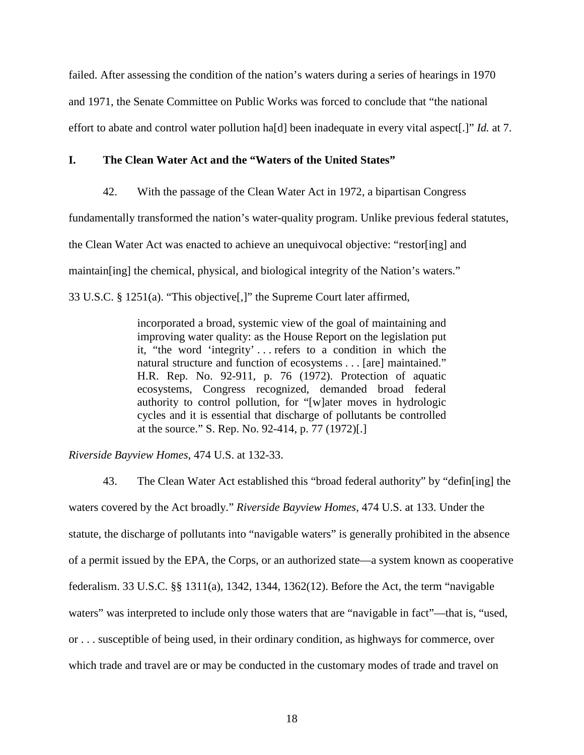failed. After assessing the condition of the nation's waters during a series of hearings in 1970 and 1971, the Senate Committee on Public Works was forced to conclude that "the national effort to abate and control water pollution ha[d] been inadequate in every vital aspect[.]" *Id.* at 7.

#### **I. The Clean Water Act and the "Waters of the United States"**

42. With the passage of the Clean Water Act in 1972, a bipartisan Congress

fundamentally transformed the nation's water-quality program. Unlike previous federal statutes,

the Clean Water Act was enacted to achieve an unequivocal objective: "restor[ing] and

maintain[ing] the chemical, physical, and biological integrity of the Nation's waters."

33 U.S.C. § 1251(a). "This objective[,]" the Supreme Court later affirmed,

incorporated a broad, systemic view of the goal of maintaining and improving water quality: as the House Report on the legislation put it, "the word 'integrity' . . . refers to a condition in which the natural structure and function of ecosystems . . . [are] maintained." H.R. Rep. No. 92-911, p. 76 (1972). Protection of aquatic ecosystems, Congress recognized, demanded broad federal authority to control pollution, for "[w]ater moves in hydrologic cycles and it is essential that discharge of pollutants be controlled at the source." S. Rep. No. 92-414, p. 77 (1972)[.]

*Riverside Bayview Homes*, 474 U.S. at 132-33.

43. The Clean Water Act established this "broad federal authority" by "defin[ing] the waters covered by the Act broadly." *Riverside Bayview Homes*, 474 U.S. at 133. Under the statute, the discharge of pollutants into "navigable waters" is generally prohibited in the absence of a permit issued by the EPA, the Corps, or an authorized state—a system known as cooperative federalism. 33 U.S.C. §§ 1311(a), 1342, 1344, 1362(12). Before the Act, the term "navigable waters" was interpreted to include only those waters that are "navigable in fact"—that is, "used, or . . . susceptible of being used, in their ordinary condition, as highways for commerce, over which trade and travel are or may be conducted in the customary modes of trade and travel on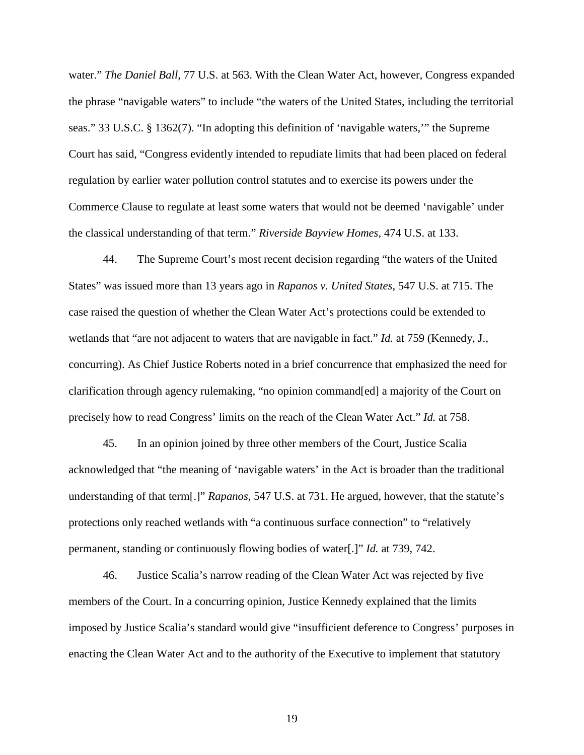water." *The Daniel Ball*, 77 U.S. at 563. With the Clean Water Act, however, Congress expanded the phrase "navigable waters" to include "the waters of the United States, including the territorial seas." 33 U.S.C. § 1362(7). "In adopting this definition of 'navigable waters,'" the Supreme Court has said, "Congress evidently intended to repudiate limits that had been placed on federal regulation by earlier water pollution control statutes and to exercise its powers under the Commerce Clause to regulate at least some waters that would not be deemed 'navigable' under the classical understanding of that term." *Riverside Bayview Homes*, 474 U.S. at 133.

44. The Supreme Court's most recent decision regarding "the waters of the United States" was issued more than 13 years ago in *Rapanos v. United States*, 547 U.S. at 715. The case raised the question of whether the Clean Water Act's protections could be extended to wetlands that "are not adjacent to waters that are navigable in fact." *Id.* at 759 (Kennedy, J., concurring). As Chief Justice Roberts noted in a brief concurrence that emphasized the need for clarification through agency rulemaking, "no opinion command[ed] a majority of the Court on precisely how to read Congress' limits on the reach of the Clean Water Act." *Id.* at 758.

45. In an opinion joined by three other members of the Court, Justice Scalia acknowledged that "the meaning of 'navigable waters' in the Act is broader than the traditional understanding of that term[.]" *Rapanos*, 547 U.S. at 731. He argued, however, that the statute's protections only reached wetlands with "a continuous surface connection" to "relatively permanent, standing or continuously flowing bodies of water[.]" *Id.* at 739, 742.

46. Justice Scalia's narrow reading of the Clean Water Act was rejected by five members of the Court. In a concurring opinion, Justice Kennedy explained that the limits imposed by Justice Scalia's standard would give "insufficient deference to Congress' purposes in enacting the Clean Water Act and to the authority of the Executive to implement that statutory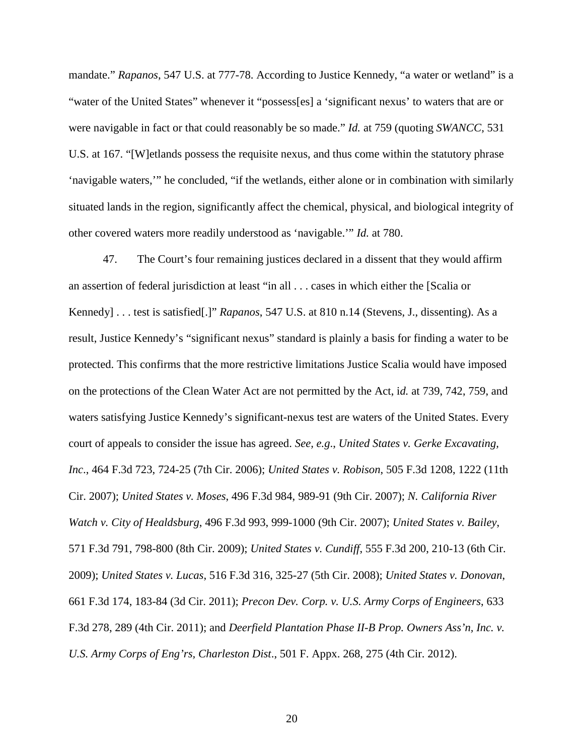mandate." *Rapanos*, 547 U.S. at 777-78. According to Justice Kennedy, "a water or wetland" is a "water of the United States" whenever it "possess[es] a 'significant nexus' to waters that are or were navigable in fact or that could reasonably be so made." *Id.* at 759 (quoting *SWANCC,* 531 U.S. at 167. "[W]etlands possess the requisite nexus, and thus come within the statutory phrase 'navigable waters,'" he concluded, "if the wetlands, either alone or in combination with similarly situated lands in the region, significantly affect the chemical, physical, and biological integrity of other covered waters more readily understood as 'navigable.'" *Id.* at 780.

47. The Court's four remaining justices declared in a dissent that they would affirm an assertion of federal jurisdiction at least "in all . . . cases in which either the [Scalia or Kennedy] . . . test is satisfied[.]" *Rapanos*, 547 U.S. at 810 n.14 (Stevens, J., dissenting). As a result, Justice Kennedy's "significant nexus" standard is plainly a basis for finding a water to be protected. This confirms that the more restrictive limitations Justice Scalia would have imposed on the protections of the Clean Water Act are not permitted by the Act, i*d.* at 739, 742, 759, and waters satisfying Justice Kennedy's significant-nexus test are waters of the United States. Every court of appeals to consider the issue has agreed. *See, e.g*., *United States v. Gerke Excavating, Inc*., 464 F.3d 723, 724-25 (7th Cir. 2006); *United States v. Robison*, 505 F.3d 1208, 1222 (11th Cir. 2007); *United States v. Moses*, 496 F.3d 984, 989-91 (9th Cir. 2007); *N. California River Watch v. City of Healdsburg*, 496 F.3d 993, 999-1000 (9th Cir. 2007); *United States v. Bailey*, 571 F.3d 791, 798-800 (8th Cir. 2009); *United States v. Cundiff*, 555 F.3d 200, 210-13 (6th Cir. 2009); *United States v. Lucas*, 516 F.3d 316, 325-27 (5th Cir. 2008); *United States v. Donovan*, 661 F.3d 174, 183-84 (3d Cir. 2011); *Precon Dev. Corp. v. U.S. Army Corps of Engineers*, 633 F.3d 278, 289 (4th Cir. 2011); and *Deerfield Plantation Phase II-B Prop. Owners Ass'n, Inc. v. U.S. Army Corps of Eng'rs, Charleston Dist*., 501 F. Appx. 268, 275 (4th Cir. 2012).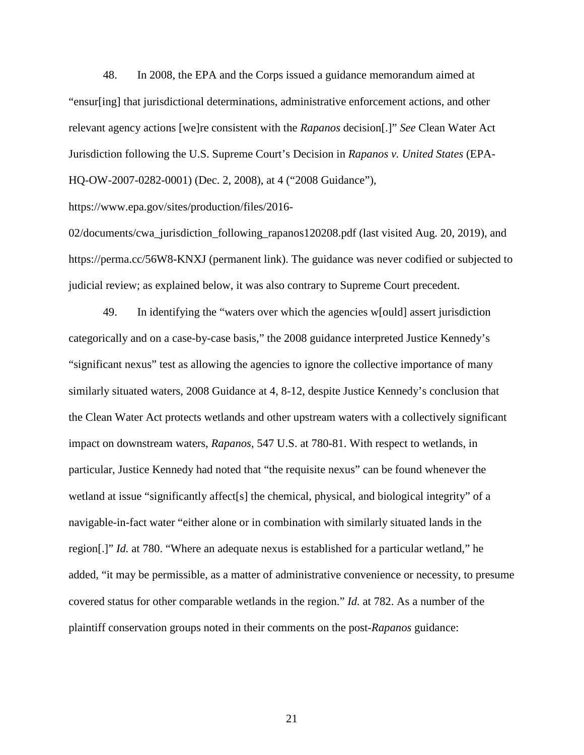48. In 2008, the EPA and the Corps issued a guidance memorandum aimed at "ensur[ing] that jurisdictional determinations, administrative enforcement actions, and other relevant agency actions [we]re consistent with the *Rapanos* decision[.]" *See* Clean Water Act Jurisdiction following the U.S. Supreme Court's Decision in *Rapanos v. United States* (EPA-HQ-OW-2007-0282-0001) (Dec. 2, 2008), at 4 ("2008 Guidance"),

https://www.epa.gov/sites/production/files/2016-

02/documents/cwa\_jurisdiction\_following\_rapanos120208.pdf (last visited Aug. 20, 2019), and https://perma.cc/56W8-KNXJ (permanent link). The guidance was never codified or subjected to judicial review; as explained below, it was also contrary to Supreme Court precedent.

49. In identifying the "waters over which the agencies w[ould] assert jurisdiction categorically and on a case-by-case basis," the 2008 guidance interpreted Justice Kennedy's "significant nexus" test as allowing the agencies to ignore the collective importance of many similarly situated waters, 2008 Guidance at 4, 8-12, despite Justice Kennedy's conclusion that the Clean Water Act protects wetlands and other upstream waters with a collectively significant impact on downstream waters, *Rapanos*, 547 U.S. at 780-81. With respect to wetlands, in particular, Justice Kennedy had noted that "the requisite nexus" can be found whenever the wetland at issue "significantly affect[s] the chemical, physical, and biological integrity" of a navigable-in-fact water "either alone or in combination with similarly situated lands in the region[.]" *Id.* at 780. "Where an adequate nexus is established for a particular wetland," he added, "it may be permissible, as a matter of administrative convenience or necessity, to presume covered status for other comparable wetlands in the region." *Id.* at 782. As a number of the plaintiff conservation groups noted in their comments on the post-*Rapanos* guidance: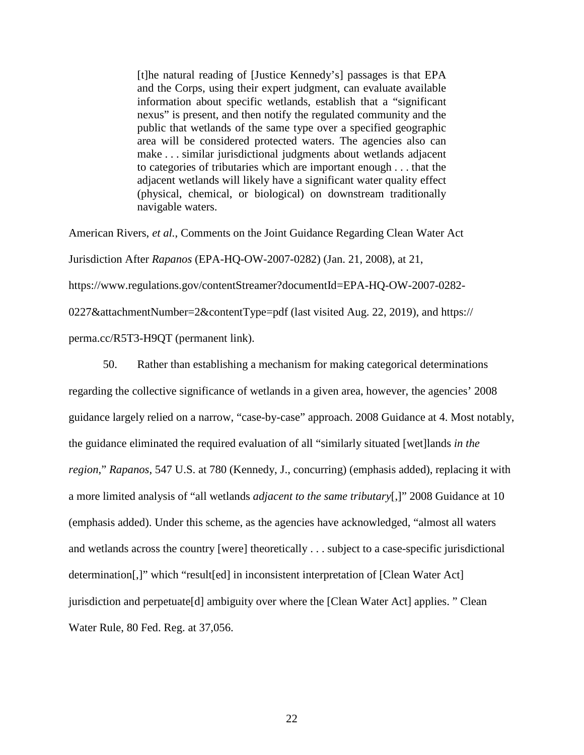[t]he natural reading of [Justice Kennedy's] passages is that EPA and the Corps, using their expert judgment, can evaluate available information about specific wetlands, establish that a "significant nexus" is present, and then notify the regulated community and the public that wetlands of the same type over a specified geographic area will be considered protected waters. The agencies also can make . . . similar jurisdictional judgments about wetlands adjacent to categories of tributaries which are important enough . . . that the adjacent wetlands will likely have a significant water quality effect (physical, chemical, or biological) on downstream traditionally navigable waters.

American Rivers, *et al.*, Comments on the Joint Guidance Regarding Clean Water Act Jurisdiction After *Rapanos* (EPA-HQ-OW-2007-0282) (Jan. 21, 2008), at 21, https://www.regulations.gov/contentStreamer?documentId=EPA-HQ-OW-2007-0282- 0227&attachmentNumber=2&contentType=pdf (last visited Aug. 22, 2019), and https://

perma.cc/R5T3-H9QT (permanent link).

50. Rather than establishing a mechanism for making categorical determinations regarding the collective significance of wetlands in a given area, however, the agencies' 2008 guidance largely relied on a narrow, "case-by-case" approach. 2008 Guidance at 4. Most notably, the guidance eliminated the required evaluation of all "similarly situated [wet]lands *in the region*," *Rapanos*, 547 U.S. at 780 (Kennedy, J., concurring) (emphasis added), replacing it with a more limited analysis of "all wetlands *adjacent to the same tributary*[,]" 2008 Guidance at 10 (emphasis added). Under this scheme, as the agencies have acknowledged, "almost all waters and wetlands across the country [were] theoretically . . . subject to a case-specific jurisdictional determination[,]" which "result[ed] in inconsistent interpretation of [Clean Water Act] jurisdiction and perpetuate[d] ambiguity over where the [Clean Water Act] applies. " Clean Water Rule, 80 Fed. Reg. at 37,056.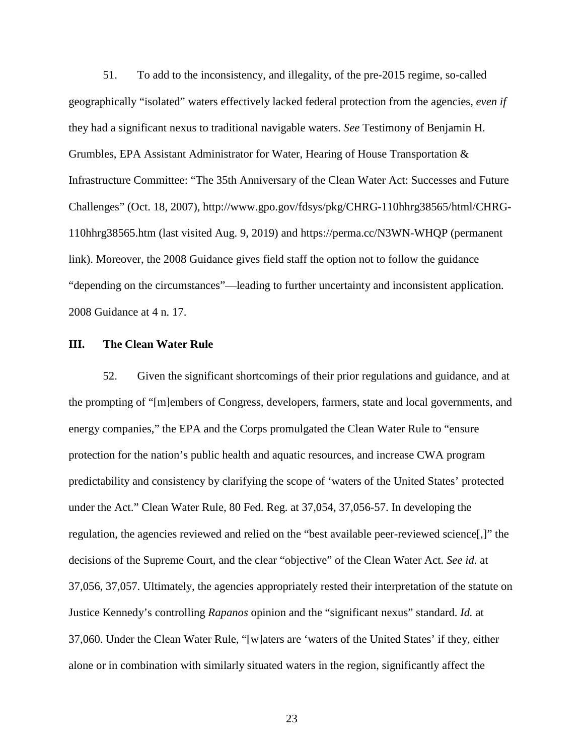51. To add to the inconsistency, and illegality, of the pre-2015 regime, so-called geographically "isolated" waters effectively lacked federal protection from the agencies, *even if* they had a significant nexus to traditional navigable waters. *See* Testimony of Benjamin H. Grumbles, EPA Assistant Administrator for Water, Hearing of House Transportation & Infrastructure Committee: "The 35th Anniversary of the Clean Water Act: Successes and Future Challenges" (Oct. 18, 2007), http://www.gpo.gov/fdsys/pkg/CHRG-110hhrg38565/html/CHRG-110hhrg38565.htm (last visited Aug. 9, 2019) and<https://perma.cc/N3WN-WHQP> (permanent link). Moreover, the 2008 Guidance gives field staff the option not to follow the guidance "depending on the circumstances"—leading to further uncertainty and inconsistent application. 2008 Guidance at 4 n. 17.

### **III. The Clean Water Rule**

52. Given the significant shortcomings of their prior regulations and guidance, and at the prompting of "[m]embers of Congress, developers, farmers, state and local governments, and energy companies," the EPA and the Corps promulgated the Clean Water Rule to "ensure protection for the nation's public health and aquatic resources, and increase CWA program predictability and consistency by clarifying the scope of 'waters of the United States' protected under the Act." Clean Water Rule, 80 Fed. Reg. at 37,054, 37,056-57. In developing the regulation, the agencies reviewed and relied on the "best available peer-reviewed science[,]" the decisions of the Supreme Court, and the clear "objective" of the Clean Water Act. *See id.* at 37,056, 37,057. Ultimately, the agencies appropriately rested their interpretation of the statute on Justice Kennedy's controlling *Rapanos* opinion and the "significant nexus" standard. *Id.* at 37,060. Under the Clean Water Rule, "[w]aters are 'waters of the United States' if they, either alone or in combination with similarly situated waters in the region, significantly affect the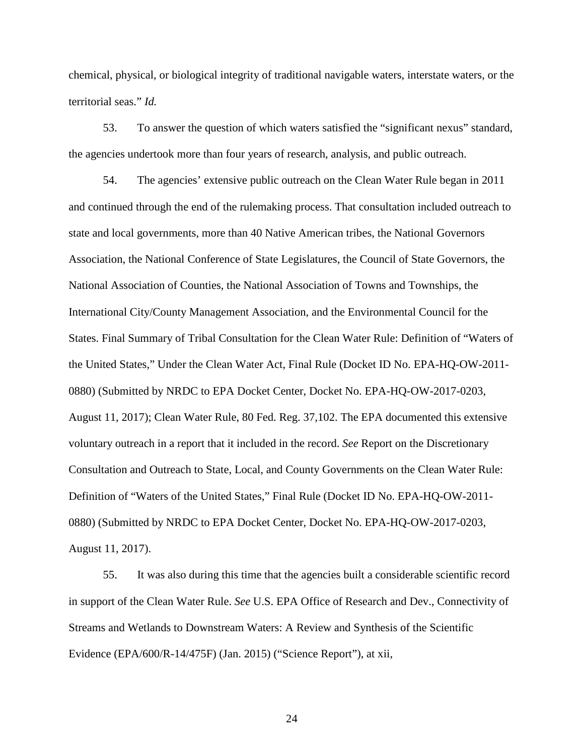chemical, physical, or biological integrity of traditional navigable waters, interstate waters, or the territorial seas." *Id.*

53. To answer the question of which waters satisfied the "significant nexus" standard, the agencies undertook more than four years of research, analysis, and public outreach.

54. The agencies' extensive public outreach on the Clean Water Rule began in 2011 and continued through the end of the rulemaking process. That consultation included outreach to state and local governments, more than 40 Native American tribes, the National Governors Association, the National Conference of State Legislatures, the Council of State Governors, the National Association of Counties, the National Association of Towns and Townships, the International City/County Management Association, and the Environmental Council for the States. Final Summary of Tribal Consultation for the Clean Water Rule: Definition of "Waters of the United States," Under the Clean Water Act, Final Rule (Docket ID No. EPA-HQ-OW-2011- 0880) (Submitted by NRDC to EPA Docket Center, Docket No. EPA-HQ-OW-2017-0203, August 11, 2017); Clean Water Rule, 80 Fed. Reg. 37,102. The EPA documented this extensive voluntary outreach in a report that it included in the record. *See* Report on the Discretionary Consultation and Outreach to State, Local, and County Governments on the Clean Water Rule: Definition of "Waters of the United States," Final Rule (Docket ID No. EPA-HQ-OW-2011- 0880) (Submitted by NRDC to EPA Docket Center, Docket No. EPA-HQ-OW-2017-0203, August 11, 2017).

55. It was also during this time that the agencies built a considerable scientific record in support of the Clean Water Rule. *See* U.S. EPA Office of Research and Dev., Connectivity of Streams and Wetlands to Downstream Waters: A Review and Synthesis of the Scientific Evidence (EPA/600/R-14/475F) (Jan. 2015) ("Science Report"), at xii,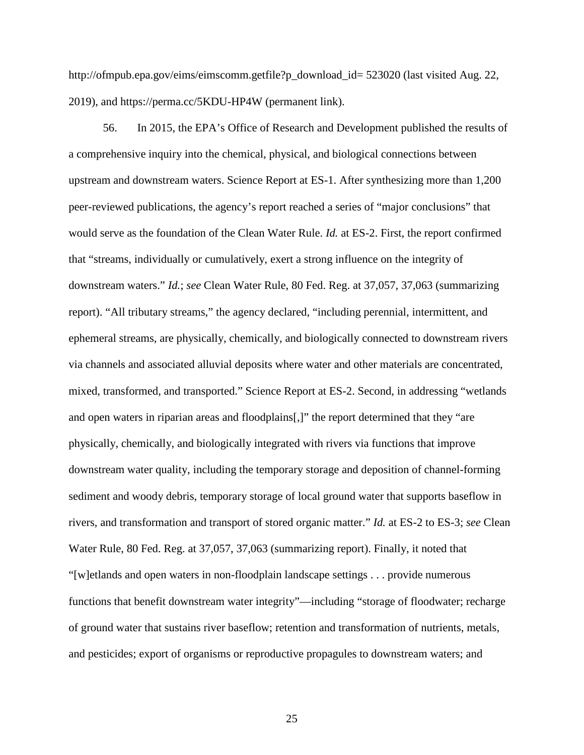http://ofmpub.epa.gov/eims/eimscomm.getfile?p\_download\_id= 523020 (last visited Aug. 22, 2019), and https://perma.cc/5KDU-HP4W (permanent link).

56. In 2015, the EPA's Office of Research and Development published the results of a comprehensive inquiry into the chemical, physical, and biological connections between upstream and downstream waters. Science Report at ES-1. After synthesizing more than 1,200 peer-reviewed publications, the agency's report reached a series of "major conclusions" that would serve as the foundation of the Clean Water Rule. *Id.* at ES-2. First, the report confirmed that "streams, individually or cumulatively, exert a strong influence on the integrity of downstream waters." *Id.*; *see* Clean Water Rule, 80 Fed. Reg. at 37,057, 37,063 (summarizing report). "All tributary streams," the agency declared, "including perennial, intermittent, and ephemeral streams, are physically, chemically, and biologically connected to downstream rivers via channels and associated alluvial deposits where water and other materials are concentrated, mixed, transformed, and transported." Science Report at ES-2. Second, in addressing "wetlands and open waters in riparian areas and floodplains[,]" the report determined that they "are physically, chemically, and biologically integrated with rivers via functions that improve downstream water quality, including the temporary storage and deposition of channel-forming sediment and woody debris, temporary storage of local ground water that supports baseflow in rivers, and transformation and transport of stored organic matter." *Id.* at ES-2 to ES-3; *see* Clean Water Rule, 80 Fed. Reg. at 37,057, 37,063 (summarizing report). Finally, it noted that "[w]etlands and open waters in non-floodplain landscape settings . . . provide numerous functions that benefit downstream water integrity"—including "storage of floodwater; recharge of ground water that sustains river baseflow; retention and transformation of nutrients, metals, and pesticides; export of organisms or reproductive propagules to downstream waters; and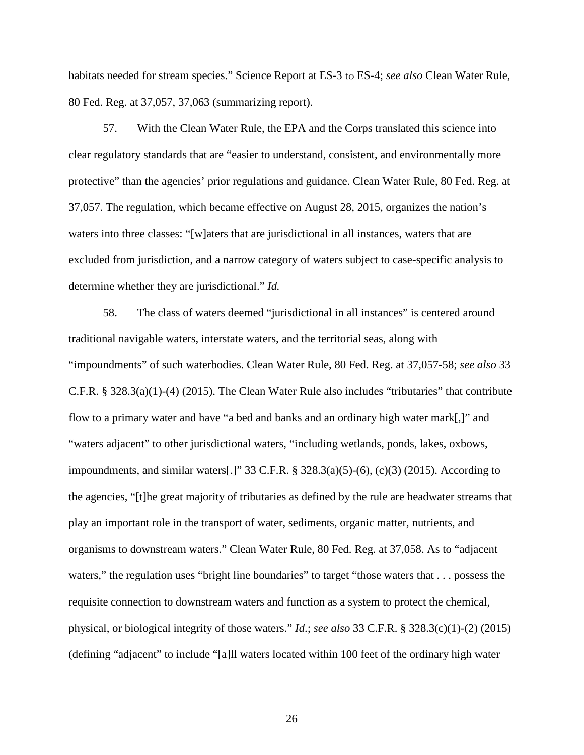habitats needed for stream species." Science Report at ES-3 to ES-4; *see also* Clean Water Rule, 80 Fed. Reg. at 37,057, 37,063 (summarizing report).

57. With the Clean Water Rule, the EPA and the Corps translated this science into clear regulatory standards that are "easier to understand, consistent, and environmentally more protective" than the agencies' prior regulations and guidance. Clean Water Rule, 80 Fed. Reg. at 37,057. The regulation, which became effective on August 28, 2015, organizes the nation's waters into three classes: "[w]aters that are jurisdictional in all instances, waters that are excluded from jurisdiction, and a narrow category of waters subject to case-specific analysis to determine whether they are jurisdictional." *Id.*

58. The class of waters deemed "jurisdictional in all instances" is centered around traditional navigable waters, interstate waters, and the territorial seas, along with "impoundments" of such waterbodies. Clean Water Rule, 80 Fed. Reg. at 37,057-58; *see also* 33 C.F.R. § 328.3(a)(1)-(4) (2015). The Clean Water Rule also includes "tributaries" that contribute flow to a primary water and have "a bed and banks and an ordinary high water mark[,]" and "waters adjacent" to other jurisdictional waters, "including wetlands, ponds, lakes, oxbows, impoundments, and similar waters[.]" 33 C.F.R.  $\S$  328.3(a)(5)-(6), (c)(3) (2015). According to the agencies, "[t]he great majority of tributaries as defined by the rule are headwater streams that play an important role in the transport of water, sediments, organic matter, nutrients, and organisms to downstream waters." Clean Water Rule, 80 Fed. Reg. at 37,058. As to "adjacent waters," the regulation uses "bright line boundaries" to target "those waters that . . . possess the requisite connection to downstream waters and function as a system to protect the chemical, physical, or biological integrity of those waters." *Id*.; *see also* 33 C.F.R. § 328.3(c)(1)-(2) (2015) (defining "adjacent" to include "[a]ll waters located within 100 feet of the ordinary high water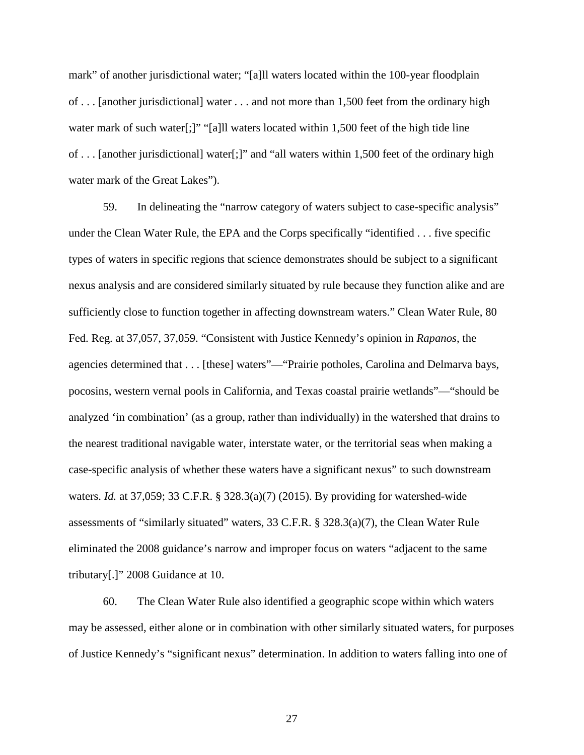mark" of another jurisdictional water; "[a]ll waters located within the 100-year floodplain of . . . [another jurisdictional] water . . . and not more than 1,500 feet from the ordinary high water mark of such water<sup>[:]"</sup> "[a]ll waters located within 1,500 feet of the high tide line of . . . [another jurisdictional] water[;]" and "all waters within 1,500 feet of the ordinary high water mark of the Great Lakes").

59. In delineating the "narrow category of waters subject to case-specific analysis" under the Clean Water Rule, the EPA and the Corps specifically "identified . . . five specific types of waters in specific regions that science demonstrates should be subject to a significant nexus analysis and are considered similarly situated by rule because they function alike and are sufficiently close to function together in affecting downstream waters." Clean Water Rule, 80 Fed. Reg. at 37,057, 37,059. "Consistent with Justice Kennedy's opinion in *Rapanos*, the agencies determined that . . . [these] waters"—"Prairie potholes, Carolina and Delmarva bays, pocosins, western vernal pools in California, and Texas coastal prairie wetlands"—"should be analyzed 'in combination' (as a group, rather than individually) in the watershed that drains to the nearest traditional navigable water, interstate water, or the territorial seas when making a case-specific analysis of whether these waters have a significant nexus" to such downstream waters. *Id.* at 37,059; 33 C.F.R. § 328.3(a)(7) (2015). By providing for watershed-wide assessments of "similarly situated" waters, 33 C.F.R. § 328.3(a)(7), the Clean Water Rule eliminated the 2008 guidance's narrow and improper focus on waters "adjacent to the same tributary[.]" 2008 Guidance at 10.

60. The Clean Water Rule also identified a geographic scope within which waters may be assessed, either alone or in combination with other similarly situated waters, for purposes of Justice Kennedy's "significant nexus" determination. In addition to waters falling into one of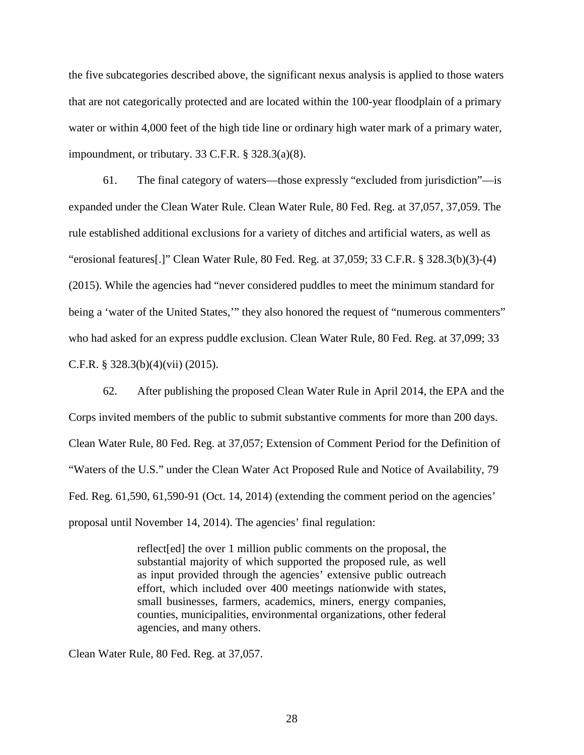the five subcategories described above, the significant nexus analysis is applied to those waters that are not categorically protected and are located within the 100-year floodplain of a primary water or within 4,000 feet of the high tide line or ordinary high water mark of a primary water, impoundment, or tributary. 33 C.F.R. § 328.3(a)(8).

61. The final category of waters—those expressly "excluded from jurisdiction"—is expanded under the Clean Water Rule. Clean Water Rule, 80 Fed. Reg. at 37,057, 37,059. The rule established additional exclusions for a variety of ditches and artificial waters, as well as "erosional features[.]" Clean Water Rule, 80 Fed. Reg. at 37,059; 33 C.F.R. § 328.3(b)(3)-(4) (2015). While the agencies had "never considered puddles to meet the minimum standard for being a 'water of the United States," they also honored the request of "numerous commenters" who had asked for an express puddle exclusion. Clean Water Rule, 80 Fed. Reg. at 37,099; 33 C.F.R. § 328.3(b)(4)(vii) (2015).

62. After publishing the proposed Clean Water Rule in April 2014, the EPA and the Corps invited members of the public to submit substantive comments for more than 200 days. Clean Water Rule, 80 Fed. Reg. at 37,057; Extension of Comment Period for the Definition of "Waters of the U.S." under the Clean Water Act Proposed Rule and Notice of Availability, 79 Fed. Reg. 61,590, 61,590-91 (Oct. 14, 2014) (extending the comment period on the agencies' proposal until November 14, 2014). The agencies' final regulation:

> reflect[ed] the over 1 million public comments on the proposal, the substantial majority of which supported the proposed rule, as well as input provided through the agencies' extensive public outreach effort, which included over 400 meetings nationwide with states, small businesses, farmers, academics, miners, energy companies, counties, municipalities, environmental organizations, other federal agencies, and many others.

Clean Water Rule, 80 Fed. Reg. at 37,057.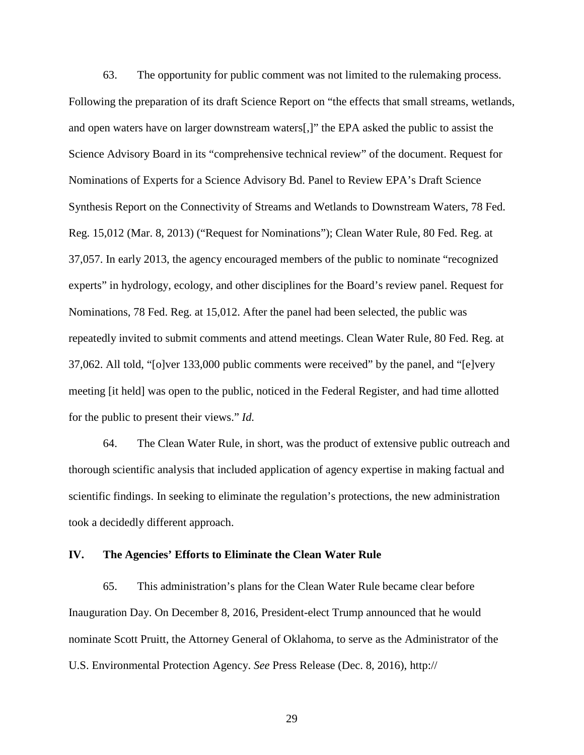63. The opportunity for public comment was not limited to the rulemaking process. Following the preparation of its draft Science Report on "the effects that small streams, wetlands, and open waters have on larger downstream waters[,]" the EPA asked the public to assist the Science Advisory Board in its "comprehensive technical review" of the document. Request for Nominations of Experts for a Science Advisory Bd. Panel to Review EPA's Draft Science Synthesis Report on the Connectivity of Streams and Wetlands to Downstream Waters, 78 Fed. Reg. 15,012 (Mar. 8, 2013) ("Request for Nominations"); Clean Water Rule, 80 Fed. Reg. at 37,057. In early 2013, the agency encouraged members of the public to nominate "recognized experts" in hydrology, ecology, and other disciplines for the Board's review panel. Request for Nominations, 78 Fed. Reg. at 15,012. After the panel had been selected, the public was repeatedly invited to submit comments and attend meetings. Clean Water Rule, 80 Fed. Reg. at 37,062. All told, "[o]ver 133,000 public comments were received" by the panel, and "[e]very meeting [it held] was open to the public, noticed in the Federal Register, and had time allotted for the public to present their views." *Id.*

64. The Clean Water Rule, in short, was the product of extensive public outreach and thorough scientific analysis that included application of agency expertise in making factual and scientific findings. In seeking to eliminate the regulation's protections, the new administration took a decidedly different approach.

### **IV. The Agencies' Efforts to Eliminate the Clean Water Rule**

65. This administration's plans for the Clean Water Rule became clear before Inauguration Day. On December 8, 2016, President-elect Trump announced that he would nominate Scott Pruitt, the Attorney General of Oklahoma, to serve as the Administrator of the U.S. Environmental Protection Agency. *See* Press Release (Dec. 8, 2016), http://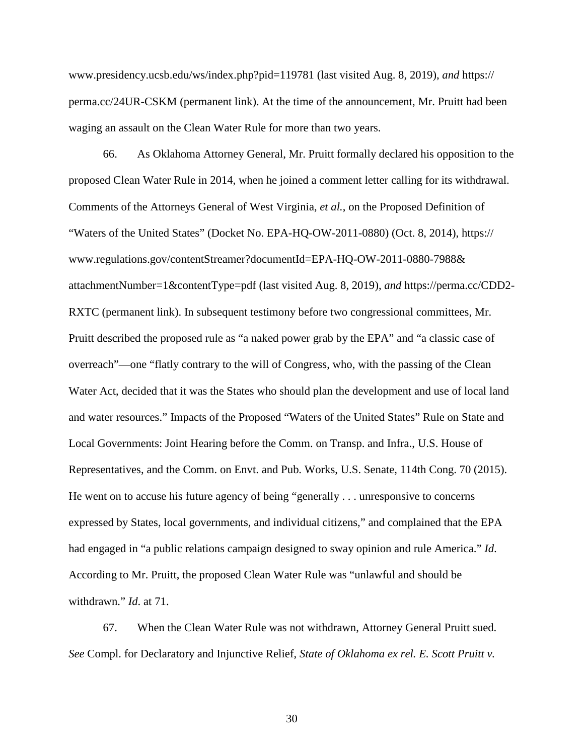www.presidency.ucsb.edu/ws/index.php?pid=119781 (last visited Aug. 8, 2019), *and* https:// perma.cc/24UR-CSKM (permanent link). At the time of the announcement, Mr. Pruitt had been waging an assault on the Clean Water Rule for more than two years.

66. As Oklahoma Attorney General, Mr. Pruitt formally declared his opposition to the proposed Clean Water Rule in 2014, when he joined a comment letter calling for its withdrawal. Comments of the Attorneys General of West Virginia, *et al.*, on the Proposed Definition of "Waters of the United States" (Docket No. EPA-HQ-OW-2011-0880) (Oct. 8, 2014), https:// www.regulations.gov/contentStreamer?documentId=EPA-HQ-OW-2011-0880-7988& attachmentNumber=1&contentType=pdf (last visited Aug. 8, 2019), *and* https://perma.cc/CDD2- RXTC (permanent link). In subsequent testimony before two congressional committees, Mr. Pruitt described the proposed rule as "a naked power grab by the EPA" and "a classic case of overreach"—one "flatly contrary to the will of Congress, who, with the passing of the Clean Water Act, decided that it was the States who should plan the development and use of local land and water resources." Impacts of the Proposed "Waters of the United States" Rule on State and Local Governments: Joint Hearing before the Comm. on Transp. and Infra., U.S. House of Representatives, and the Comm. on Envt. and Pub. Works, U.S. Senate, 114th Cong. 70 (2015). He went on to accuse his future agency of being "generally . . . unresponsive to concerns expressed by States, local governments, and individual citizens," and complained that the EPA had engaged in "a public relations campaign designed to sway opinion and rule America." *Id*. According to Mr. Pruitt, the proposed Clean Water Rule was "unlawful and should be withdrawn." *Id*. at 71.

67. When the Clean Water Rule was not withdrawn, Attorney General Pruitt sued. *See* Compl. for Declaratory and Injunctive Relief, *State of Oklahoma ex rel. E. Scott Pruitt v.*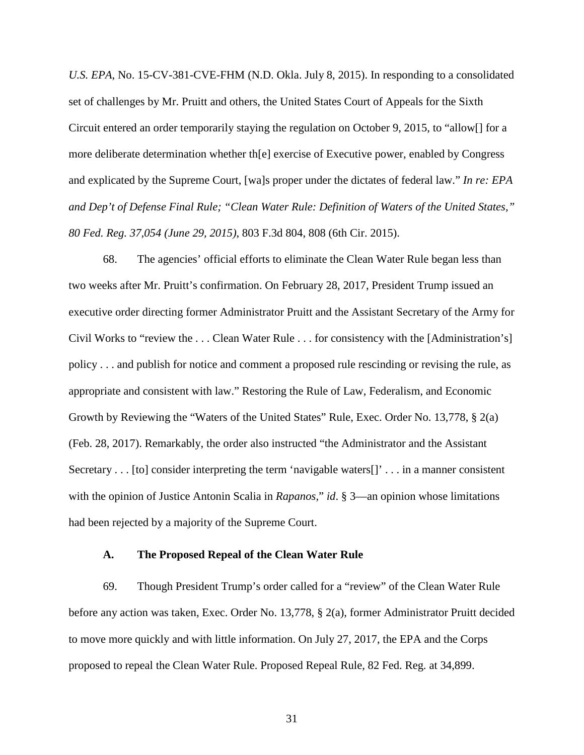*U.S. EPA*, No. 15-CV-381-CVE-FHM (N.D. Okla. July 8, 2015). In responding to a consolidated set of challenges by Mr. Pruitt and others, the United States Court of Appeals for the Sixth Circuit entered an order temporarily staying the regulation on October 9, 2015, to "allow[] for a more deliberate determination whether th[e] exercise of Executive power, enabled by Congress and explicated by the Supreme Court, [wa]s proper under the dictates of federal law." *In re: EPA and Dep't of Defense Final Rule; "Clean Water Rule: Definition of Waters of the United States," 80 Fed. Reg. 37,054 (June 29, 2015)*, 803 F.3d 804, 808 (6th Cir. 2015).

68. The agencies' official efforts to eliminate the Clean Water Rule began less than two weeks after Mr. Pruitt's confirmation. On February 28, 2017, President Trump issued an executive order directing former Administrator Pruitt and the Assistant Secretary of the Army for Civil Works to "review the . . . Clean Water Rule . . . for consistency with the [Administration's] policy . . . and publish for notice and comment a proposed rule rescinding or revising the rule, as appropriate and consistent with law." Restoring the Rule of Law, Federalism, and Economic Growth by Reviewing the "Waters of the United States" Rule, Exec. Order No. 13,778, § 2(a) (Feb. 28, 2017). Remarkably, the order also instructed "the Administrator and the Assistant Secretary . . . [to] consider interpreting the term 'navigable waters<sup>[]</sup>' . . . in a manner consistent with the opinion of Justice Antonin Scalia in *Rapanos,*" *id*. § 3—an opinion whose limitations had been rejected by a majority of the Supreme Court.

### **A. The Proposed Repeal of the Clean Water Rule**

69. Though President Trump's order called for a "review" of the Clean Water Rule before any action was taken, Exec. Order No. 13,778, § 2(a), former Administrator Pruitt decided to move more quickly and with little information. On July 27, 2017, the EPA and the Corps proposed to repeal the Clean Water Rule. Proposed Repeal Rule, 82 Fed. Reg. at 34,899.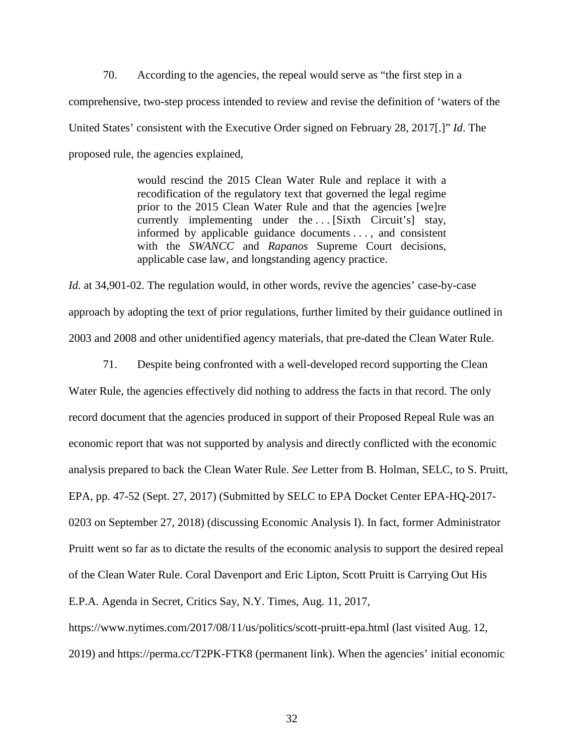70. According to the agencies, the repeal would serve as "the first step in a comprehensive, two-step process intended to review and revise the definition of 'waters of the United States' consistent with the Executive Order signed on February 28, 2017[.]" *Id*. The proposed rule, the agencies explained,

> would rescind the 2015 Clean Water Rule and replace it with a recodification of the regulatory text that governed the legal regime prior to the 2015 Clean Water Rule and that the agencies [we]re currently implementing under the ... [Sixth Circuit's] stay, informed by applicable guidance documents . . . , and consistent with the *SWANCC* and *Rapanos* Supreme Court decisions, applicable case law, and longstanding agency practice.

*Id.* at 34,901-02. The regulation would, in other words, revive the agencies' case-by-case approach by adopting the text of prior regulations, further limited by their guidance outlined in 2003 and 2008 and other unidentified agency materials, that pre-dated the Clean Water Rule.

71. Despite being confronted with a well-developed record supporting the Clean Water Rule, the agencies effectively did nothing to address the facts in that record. The only record document that the agencies produced in support of their Proposed Repeal Rule was an economic report that was not supported by analysis and directly conflicted with the economic analysis prepared to back the Clean Water Rule. *See* Letter from B. Holman, SELC, to S. Pruitt, EPA, pp. 47-52 (Sept. 27, 2017) (Submitted by SELC to EPA Docket Center EPA-HQ-2017- 0203 on September 27, 2018) (discussing Economic Analysis I). In fact, former Administrator Pruitt went so far as to dictate the results of the economic analysis to support the desired repeal of the Clean Water Rule. Coral Davenport and Eric Lipton, Scott Pruitt is Carrying Out His

E.P.A. Agenda in Secret, Critics Say, N.Y. Times, Aug. 11, 2017,

https://www.nytimes.com/2017/08/11/us/politics/scott-pruitt-epa.html (last visited Aug. 12, 2019) and https://perma.cc/T2PK-FTK8 (permanent link). When the agencies' initial economic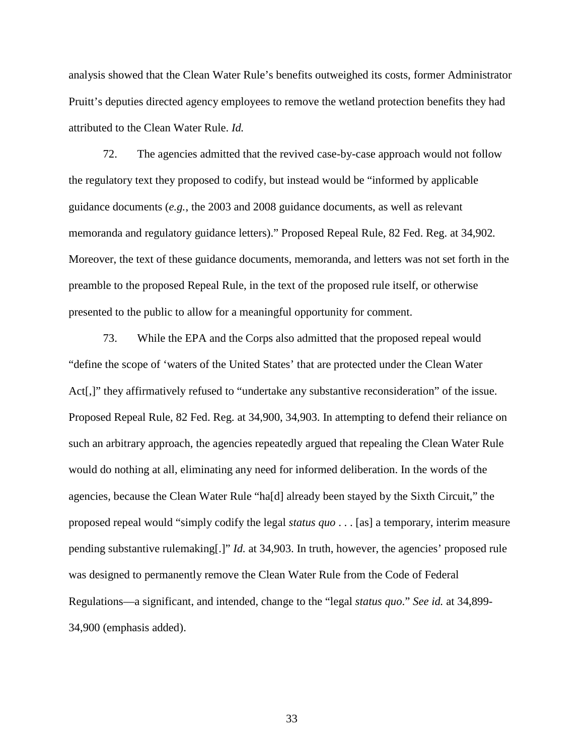analysis showed that the Clean Water Rule's benefits outweighed its costs, former Administrator Pruitt's deputies directed agency employees to remove the wetland protection benefits they had attributed to the Clean Water Rule. *Id.*

72. The agencies admitted that the revived case-by-case approach would not follow the regulatory text they proposed to codify, but instead would be "informed by applicable guidance documents (*e.g.*, the 2003 and 2008 guidance documents, as well as relevant memoranda and regulatory guidance letters)." Proposed Repeal Rule, 82 Fed. Reg. at 34,902*.* Moreover, the text of these guidance documents, memoranda, and letters was not set forth in the preamble to the proposed Repeal Rule, in the text of the proposed rule itself, or otherwise presented to the public to allow for a meaningful opportunity for comment.

73. While the EPA and the Corps also admitted that the proposed repeal would "define the scope of 'waters of the United States' that are protected under the Clean Water Act<sup>[</sup>,]" they affirmatively refused to "undertake any substantive reconsideration" of the issue. Proposed Repeal Rule, 82 Fed. Reg. at 34,900, 34,903. In attempting to defend their reliance on such an arbitrary approach, the agencies repeatedly argued that repealing the Clean Water Rule would do nothing at all, eliminating any need for informed deliberation. In the words of the agencies, because the Clean Water Rule "ha[d] already been stayed by the Sixth Circuit," the proposed repeal would "simply codify the legal *status quo* . . . [as] a temporary, interim measure pending substantive rulemaking[.]" *Id.* at 34,903. In truth, however, the agencies' proposed rule was designed to permanently remove the Clean Water Rule from the Code of Federal Regulations—a significant, and intended, change to the "legal *status quo*." *See id.* at 34,899- 34,900 (emphasis added).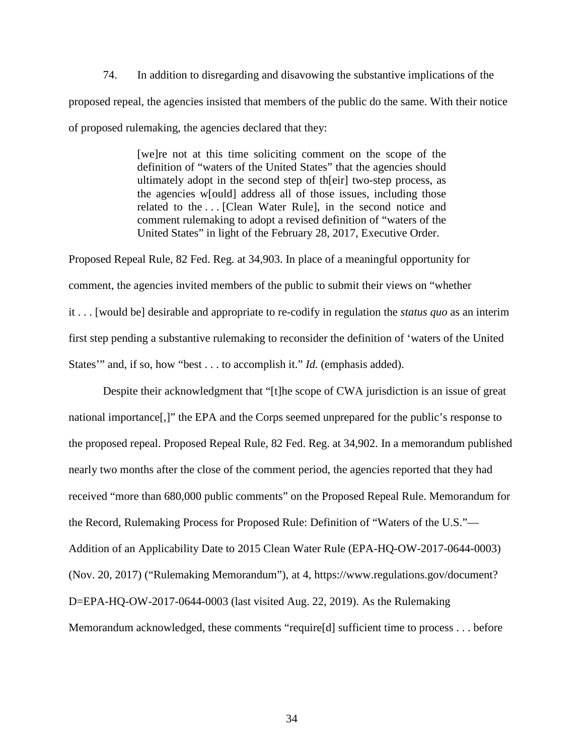74. In addition to disregarding and disavowing the substantive implications of the proposed repeal, the agencies insisted that members of the public do the same. With their notice of proposed rulemaking, the agencies declared that they:

> [we]re not at this time soliciting comment on the scope of the definition of "waters of the United States" that the agencies should ultimately adopt in the second step of th[eir] two-step process, as the agencies w[ould] address all of those issues, including those related to the . . . [Clean Water Rule], in the second notice and comment rulemaking to adopt a revised definition of "waters of the United States" in light of the February 28, 2017, Executive Order.

Proposed Repeal Rule, 82 Fed. Reg. at 34,903. In place of a meaningful opportunity for comment, the agencies invited members of the public to submit their views on "whether it . . . [would be] desirable and appropriate to re-codify in regulation the *status quo* as an interim first step pending a substantive rulemaking to reconsider the definition of 'waters of the United States'" and, if so, how "best . . . to accomplish it." *Id.* (emphasis added).

Despite their acknowledgment that "[t]he scope of CWA jurisdiction is an issue of great national importance[,]" the EPA and the Corps seemed unprepared for the public's response to the proposed repeal. Proposed Repeal Rule, 82 Fed. Reg. at 34,902. In a memorandum published nearly two months after the close of the comment period, the agencies reported that they had received "more than 680,000 public comments" on the Proposed Repeal Rule. Memorandum for the Record, Rulemaking Process for Proposed Rule: Definition of "Waters of the U.S."— Addition of an Applicability Date to 2015 Clean Water Rule (EPA-HQ-OW-2017-0644-0003) (Nov. 20, 2017) ("Rulemaking Memorandum"), at 4, https://www.regulations.gov/document? D=EPA-HQ-OW-2017-0644-0003 (last visited Aug. 22, 2019). As the Rulemaking Memorandum acknowledged, these comments "require[d] sufficient time to process . . . before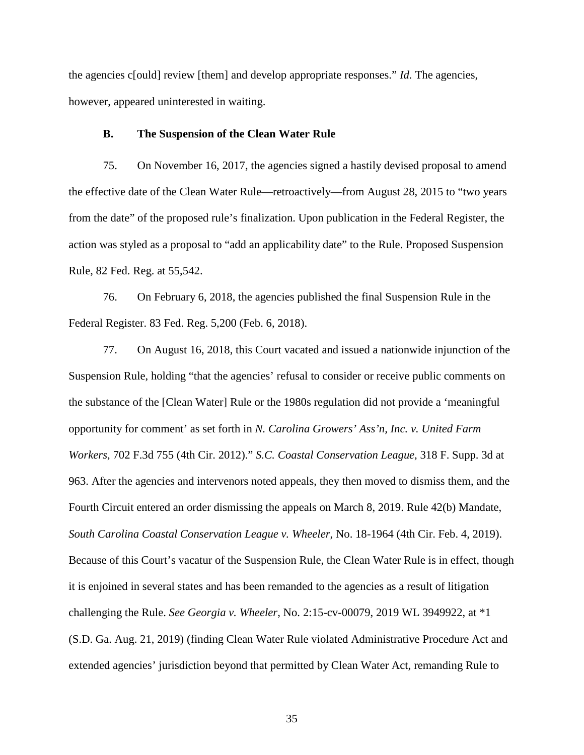the agencies c[ould] review [them] and develop appropriate responses." *Id.* The agencies, however, appeared uninterested in waiting.

### **B. The Suspension of the Clean Water Rule**

75. On November 16, 2017, the agencies signed a hastily devised proposal to amend the effective date of the Clean Water Rule—retroactively—from August 28, 2015 to "two years from the date" of the proposed rule's finalization. Upon publication in the Federal Register, the action was styled as a proposal to "add an applicability date" to the Rule. Proposed Suspension Rule, 82 Fed. Reg. at 55,542.

76. On February 6, 2018, the agencies published the final Suspension Rule in the Federal Register. 83 Fed. Reg. 5,200 (Feb. 6, 2018).

77. On August 16, 2018, this Court vacated and issued a nationwide injunction of the Suspension Rule, holding "that the agencies' refusal to consider or receive public comments on the substance of the [Clean Water] Rule or the 1980s regulation did not provide a 'meaningful opportunity for comment' as set forth in *N. Carolina Growers' Ass'n, Inc. v. United Farm Workers*, 702 F.3d 755 (4th Cir. 2012)." *S.C. Coastal Conservation League*, 318 F. Supp. 3d at 963. After the agencies and intervenors noted appeals, they then moved to dismiss them, and the Fourth Circuit entered an order dismissing the appeals on March 8, 2019. Rule 42(b) Mandate, *South Carolina Coastal Conservation League v. Wheeler*, No. 18-1964 (4th Cir. Feb. 4, 2019). Because of this Court's vacatur of the Suspension Rule, the Clean Water Rule is in effect, though it is enjoined in several states and has been remanded to the agencies as a result of litigation challenging the Rule. *See Georgia v. Wheeler*, No. 2:15-cv-00079, 2019 WL 3949922, at \*1 (S.D. Ga. Aug. 21, 2019) (finding Clean Water Rule violated Administrative Procedure Act and extended agencies' jurisdiction beyond that permitted by Clean Water Act, remanding Rule to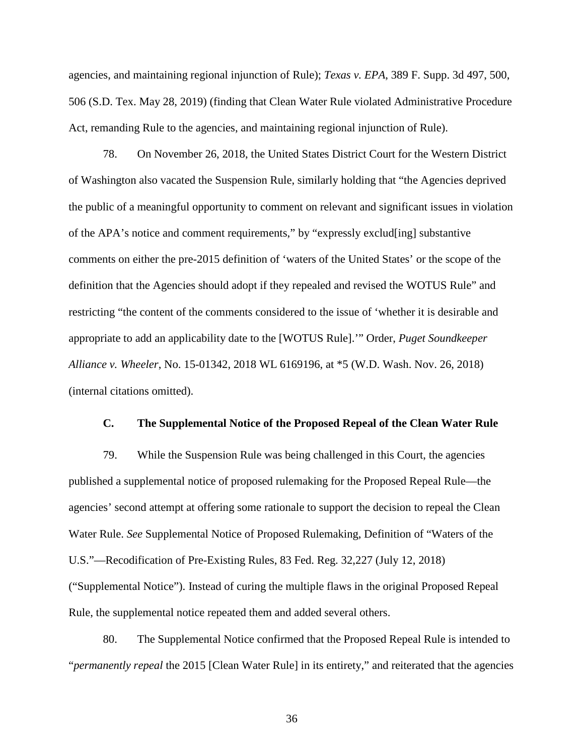agencies, and maintaining regional injunction of Rule); *Texas v. EPA*, 389 F. Supp. 3d 497, 500, 506 (S.D. Tex. May 28, 2019) (finding that Clean Water Rule violated Administrative Procedure Act, remanding Rule to the agencies, and maintaining regional injunction of Rule).

78. On November 26, 2018, the United States District Court for the Western District of Washington also vacated the Suspension Rule, similarly holding that "the Agencies deprived the public of a meaningful opportunity to comment on relevant and significant issues in violation of the APA's notice and comment requirements," by "expressly exclud[ing] substantive comments on either the pre-2015 definition of 'waters of the United States' or the scope of the definition that the Agencies should adopt if they repealed and revised the WOTUS Rule" and restricting "the content of the comments considered to the issue of 'whether it is desirable and appropriate to add an applicability date to the [WOTUS Rule].'" Order, *Puget Soundkeeper Alliance v. Wheeler*, No. 15-01342, 2018 WL 6169196, at \*5 (W.D. Wash. Nov. 26, 2018) (internal citations omitted).

### **C. The Supplemental Notice of the Proposed Repeal of the Clean Water Rule**

79. While the Suspension Rule was being challenged in this Court, the agencies published a supplemental notice of proposed rulemaking for the Proposed Repeal Rule—the agencies' second attempt at offering some rationale to support the decision to repeal the Clean Water Rule. *See* Supplemental Notice of Proposed Rulemaking, Definition of "Waters of the U.S."—Recodification of Pre-Existing Rules, 83 Fed. Reg. 32,227 (July 12, 2018) ("Supplemental Notice"). Instead of curing the multiple flaws in the original Proposed Repeal Rule, the supplemental notice repeated them and added several others.

80. The Supplemental Notice confirmed that the Proposed Repeal Rule is intended to "*permanently repeal* the 2015 [Clean Water Rule] in its entirety," and reiterated that the agencies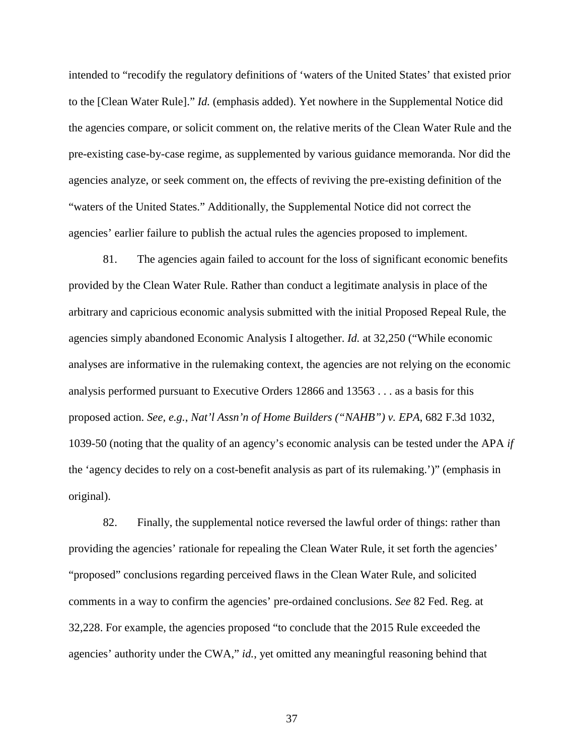intended to "recodify the regulatory definitions of 'waters of the United States' that existed prior to the [Clean Water Rule]." *Id.* (emphasis added). Yet nowhere in the Supplemental Notice did the agencies compare, or solicit comment on, the relative merits of the Clean Water Rule and the pre-existing case-by-case regime, as supplemented by various guidance memoranda. Nor did the agencies analyze, or seek comment on, the effects of reviving the pre-existing definition of the "waters of the United States." Additionally, the Supplemental Notice did not correct the agencies' earlier failure to publish the actual rules the agencies proposed to implement.

81. The agencies again failed to account for the loss of significant economic benefits provided by the Clean Water Rule. Rather than conduct a legitimate analysis in place of the arbitrary and capricious economic analysis submitted with the initial Proposed Repeal Rule, the agencies simply abandoned Economic Analysis I altogether. *Id.* at 32,250 ("While economic analyses are informative in the rulemaking context, the agencies are not relying on the economic analysis performed pursuant to Executive Orders 12866 and 13563 . . . as a basis for this proposed action. *See, e.g.*, *Nat'l Assn'n of Home Builders ("NAHB") v. EPA*, 682 F.3d 1032, 1039-50 (noting that the quality of an agency's economic analysis can be tested under the APA *if* the 'agency decides to rely on a cost-benefit analysis as part of its rulemaking.')" (emphasis in original).

82. Finally, the supplemental notice reversed the lawful order of things: rather than providing the agencies' rationale for repealing the Clean Water Rule, it set forth the agencies' "proposed" conclusions regarding perceived flaws in the Clean Water Rule, and solicited comments in a way to confirm the agencies' pre-ordained conclusions. *See* 82 Fed. Reg. at 32,228. For example, the agencies proposed "to conclude that the 2015 Rule exceeded the agencies' authority under the CWA," *id.*, yet omitted any meaningful reasoning behind that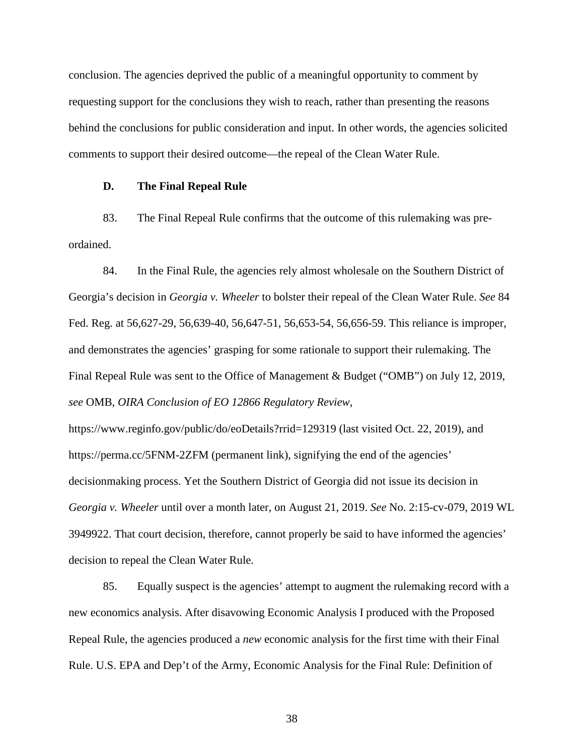conclusion. The agencies deprived the public of a meaningful opportunity to comment by requesting support for the conclusions they wish to reach, rather than presenting the reasons behind the conclusions for public consideration and input. In other words, the agencies solicited comments to support their desired outcome—the repeal of the Clean Water Rule.

#### **D. The Final Repeal Rule**

83. The Final Repeal Rule confirms that the outcome of this rulemaking was preordained.

84. In the Final Rule, the agencies rely almost wholesale on the Southern District of Georgia's decision in *Georgia v. Wheeler* to bolster their repeal of the Clean Water Rule. *See* 84 Fed. Reg. at 56,627-29, 56,639-40, 56,647-51, 56,653-54, 56,656-59. This reliance is improper, and demonstrates the agencies' grasping for some rationale to support their rulemaking. The Final Repeal Rule was sent to the Office of Management & Budget ("OMB") on July 12, 2019, *see* OMB, *OIRA Conclusion of EO 12866 Regulatory Review*,

https://www.reginfo.gov/public/do/eoDetails?rrid=129319 (last visited Oct. 22, 2019), and https://perma.cc/5FNM-2ZFM (permanent link), signifying the end of the agencies' decisionmaking process. Yet the Southern District of Georgia did not issue its decision in *Georgia v. Wheeler* until over a month later, on August 21, 2019. *See* No. 2:15-cv-079, 2019 WL 3949922. That court decision, therefore, cannot properly be said to have informed the agencies' decision to repeal the Clean Water Rule.

85. Equally suspect is the agencies' attempt to augment the rulemaking record with a new economics analysis. After disavowing Economic Analysis I produced with the Proposed Repeal Rule, the agencies produced a *new* economic analysis for the first time with their Final Rule. U.S. EPA and Dep't of the Army, Economic Analysis for the Final Rule: Definition of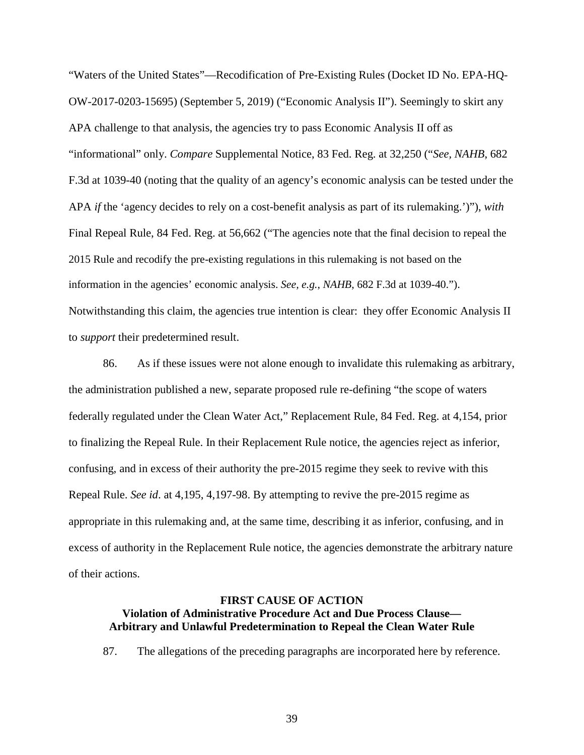"Waters of the United States"—Recodification of Pre-Existing Rules (Docket ID No. EPA-HQ-OW-2017-0203-15695) (September 5, 2019) ("Economic Analysis II"). Seemingly to skirt any APA challenge to that analysis, the agencies try to pass Economic Analysis II off as "informational" only. *Compare* Supplemental Notice, 83 Fed. Reg. at 32,250 ("*See, NAHB*, 682 F.3d at 1039-40 (noting that the quality of an agency's economic analysis can be tested under the APA *if* the 'agency decides to rely on a cost-benefit analysis as part of its rulemaking.')"), *with*  Final Repeal Rule, 84 Fed. Reg. at 56,662 ("The agencies note that the final decision to repeal the 2015 Rule and recodify the pre-existing regulations in this rulemaking is not based on the information in the agencies' economic analysis. *See, e.g.*, *NAHB*, 682 F.3d at 1039-40."). Notwithstanding this claim, the agencies true intention is clear: they offer Economic Analysis II to *support* their predetermined result.

86. As if these issues were not alone enough to invalidate this rulemaking as arbitrary, the administration published a new, separate proposed rule re-defining "the scope of waters federally regulated under the Clean Water Act," Replacement Rule, 84 Fed. Reg. at 4,154, prior to finalizing the Repeal Rule. In their Replacement Rule notice, the agencies reject as inferior, confusing, and in excess of their authority the pre-2015 regime they seek to revive with this Repeal Rule. *See id*. at 4,195, 4,197-98. By attempting to revive the pre-2015 regime as appropriate in this rulemaking and, at the same time, describing it as inferior, confusing, and in excess of authority in the Replacement Rule notice, the agencies demonstrate the arbitrary nature of their actions.

## **FIRST CAUSE OF ACTION Violation of Administrative Procedure Act and Due Process Clause— Arbitrary and Unlawful Predetermination to Repeal the Clean Water Rule**

87. The allegations of the preceding paragraphs are incorporated here by reference.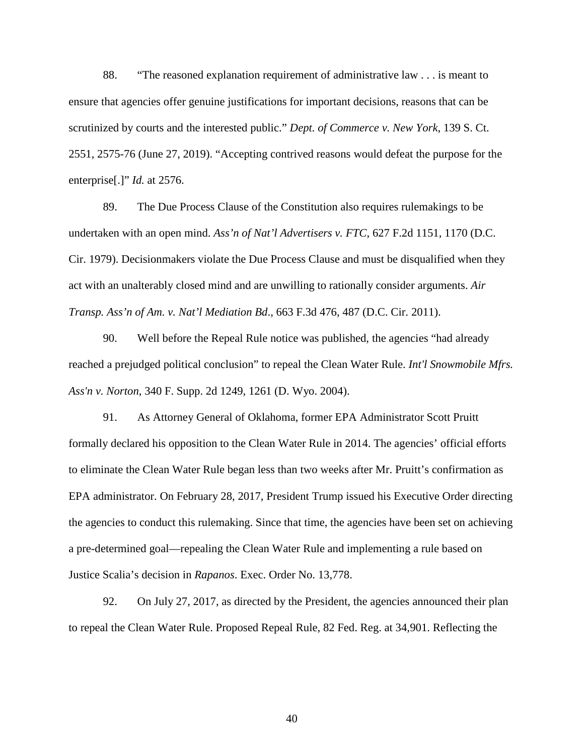88. "The reasoned explanation requirement of administrative law . . . is meant to ensure that agencies offer genuine justifications for important decisions, reasons that can be scrutinized by courts and the interested public." *Dept. of Commerce v. New York*, 139 S. Ct. 2551, 2575-76 (June 27, 2019). "Accepting contrived reasons would defeat the purpose for the enterprise[.]" *Id.* at 2576.

89. The Due Process Clause of the Constitution also requires rulemakings to be undertaken with an open mind. *Ass'n of Nat'l Advertisers v. FTC*, 627 F.2d 1151, 1170 (D.C. Cir. 1979). Decisionmakers violate the Due Process Clause and must be disqualified when they act with an unalterably closed mind and are unwilling to rationally consider arguments. *Air Transp. Ass'n of Am. v. Nat'l Mediation Bd*., 663 F.3d 476, 487 (D.C. Cir. 2011).

90. Well before the Repeal Rule notice was published, the agencies "had already reached a prejudged political conclusion" to repeal the Clean Water Rule. *Int'l Snowmobile Mfrs. Ass'n v. Norton*, 340 F. Supp. 2d 1249, 1261 (D. Wyo. 2004).

91. As Attorney General of Oklahoma, former EPA Administrator Scott Pruitt formally declared his opposition to the Clean Water Rule in 2014. The agencies' official efforts to eliminate the Clean Water Rule began less than two weeks after Mr. Pruitt's confirmation as EPA administrator. On February 28, 2017, President Trump issued his Executive Order directing the agencies to conduct this rulemaking. Since that time, the agencies have been set on achieving a pre-determined goal—repealing the Clean Water Rule and implementing a rule based on Justice Scalia's decision in *Rapanos*. Exec. Order No. 13,778.

92. On July 27, 2017, as directed by the President, the agencies announced their plan to repeal the Clean Water Rule. Proposed Repeal Rule, 82 Fed. Reg. at 34,901. Reflecting the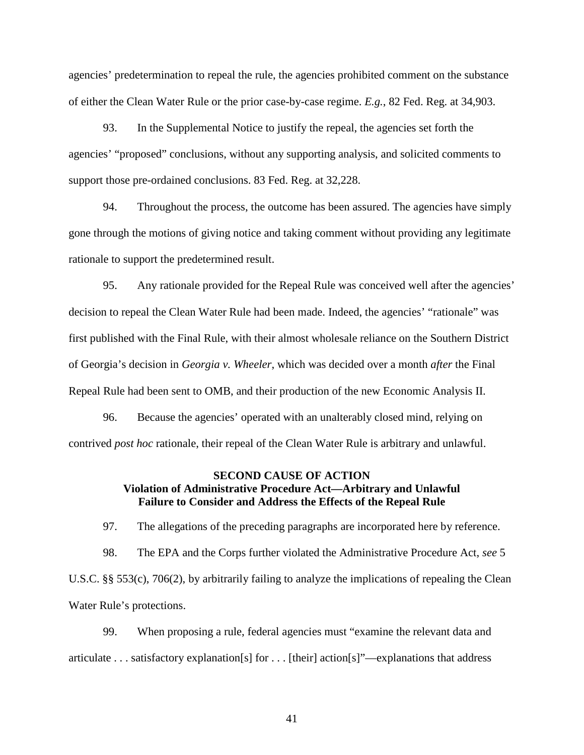agencies' predetermination to repeal the rule, the agencies prohibited comment on the substance of either the Clean Water Rule or the prior case-by-case regime. *E.g.*, 82 Fed. Reg. at 34,903.

93. In the Supplemental Notice to justify the repeal, the agencies set forth the agencies' "proposed" conclusions, without any supporting analysis, and solicited comments to support those pre-ordained conclusions. 83 Fed. Reg. at 32,228.

94. Throughout the process, the outcome has been assured. The agencies have simply gone through the motions of giving notice and taking comment without providing any legitimate rationale to support the predetermined result.

95. Any rationale provided for the Repeal Rule was conceived well after the agencies' decision to repeal the Clean Water Rule had been made. Indeed, the agencies' "rationale" was first published with the Final Rule, with their almost wholesale reliance on the Southern District of Georgia's decision in *Georgia v. Wheeler*, which was decided over a month *after* the Final Repeal Rule had been sent to OMB, and their production of the new Economic Analysis II.

96. Because the agencies' operated with an unalterably closed mind, relying on contrived *post hoc* rationale, their repeal of the Clean Water Rule is arbitrary and unlawful.

# **SECOND CAUSE OF ACTION Violation of Administrative Procedure Act—Arbitrary and Unlawful Failure to Consider and Address the Effects of the Repeal Rule**

97. The allegations of the preceding paragraphs are incorporated here by reference.

98. The EPA and the Corps further violated the Administrative Procedure Act, *see* 5 U.S.C. §§ 553(c), 706(2), by arbitrarily failing to analyze the implications of repealing the Clean Water Rule's protections.

99. When proposing a rule, federal agencies must "examine the relevant data and articulate . . . satisfactory explanation[s] for . . . [their] action[s]"—explanations that address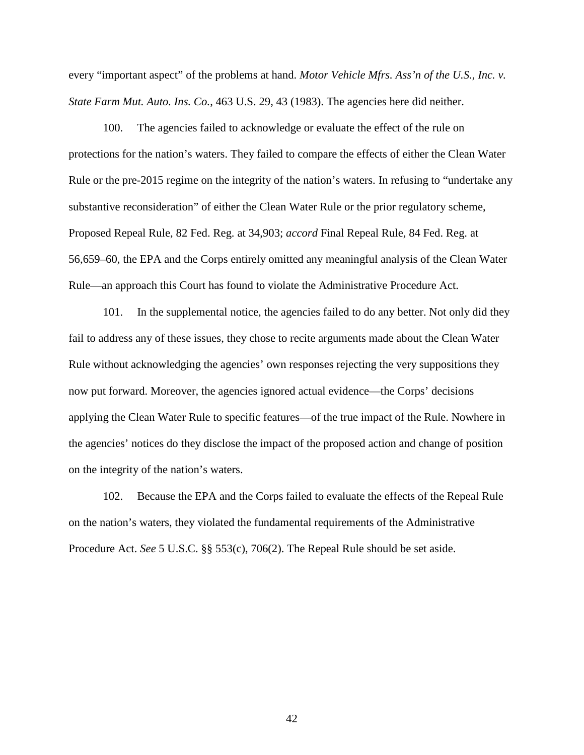every "important aspect" of the problems at hand. *Motor Vehicle Mfrs. Ass'n of the U.S., Inc. v. State Farm Mut. Auto. Ins. Co.*, 463 U.S. 29, 43 (1983). The agencies here did neither.

100. The agencies failed to acknowledge or evaluate the effect of the rule on protections for the nation's waters. They failed to compare the effects of either the Clean Water Rule or the pre-2015 regime on the integrity of the nation's waters. In refusing to "undertake any substantive reconsideration" of either the Clean Water Rule or the prior regulatory scheme, Proposed Repeal Rule, 82 Fed. Reg. at 34,903; *accord* Final Repeal Rule, 84 Fed. Reg. at 56,659–60, the EPA and the Corps entirely omitted any meaningful analysis of the Clean Water Rule—an approach this Court has found to violate the Administrative Procedure Act.

101. In the supplemental notice, the agencies failed to do any better. Not only did they fail to address any of these issues, they chose to recite arguments made about the Clean Water Rule without acknowledging the agencies' own responses rejecting the very suppositions they now put forward. Moreover, the agencies ignored actual evidence—the Corps' decisions applying the Clean Water Rule to specific features—of the true impact of the Rule. Nowhere in the agencies' notices do they disclose the impact of the proposed action and change of position on the integrity of the nation's waters.

102. Because the EPA and the Corps failed to evaluate the effects of the Repeal Rule on the nation's waters, they violated the fundamental requirements of the Administrative Procedure Act. *See* 5 U.S.C. §§ 553(c), 706(2). The Repeal Rule should be set aside.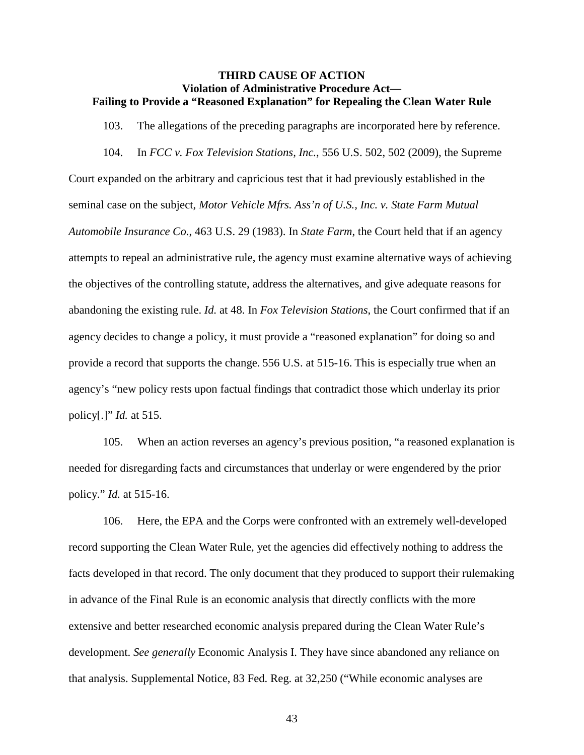### **THIRD CAUSE OF ACTION Violation of Administrative Procedure Act— Failing to Provide a "Reasoned Explanation" for Repealing the Clean Water Rule**

103. The allegations of the preceding paragraphs are incorporated here by reference.

104. In *FCC v. Fox Television Stations, Inc.*, 556 U.S. 502, 502 (2009), the Supreme

Court expanded on the arbitrary and capricious test that it had previously established in the seminal case on the subject, *Motor Vehicle Mfrs. Ass'n of U.S., Inc. v. State Farm Mutual Automobile Insurance Co.*, 463 U.S. 29 (1983). In *State Farm*, the Court held that if an agency attempts to repeal an administrative rule, the agency must examine alternative ways of achieving the objectives of the controlling statute, address the alternatives, and give adequate reasons for abandoning the existing rule. *Id.* at 48. In *Fox Television Stations*, the Court confirmed that if an agency decides to change a policy, it must provide a "reasoned explanation" for doing so and provide a record that supports the change. 556 U.S. at 515-16. This is especially true when an agency's "new policy rests upon factual findings that contradict those which underlay its prior policy[.]" *Id.* at 515.

105. When an action reverses an agency's previous position, "a reasoned explanation is needed for disregarding facts and circumstances that underlay or were engendered by the prior policy." *Id.* at 515-16.

106. Here, the EPA and the Corps were confronted with an extremely well-developed record supporting the Clean Water Rule, yet the agencies did effectively nothing to address the facts developed in that record. The only document that they produced to support their rulemaking in advance of the Final Rule is an economic analysis that directly conflicts with the more extensive and better researched economic analysis prepared during the Clean Water Rule's development. *See generally* Economic Analysis I. They have since abandoned any reliance on that analysis. Supplemental Notice, 83 Fed. Reg. at 32,250 ("While economic analyses are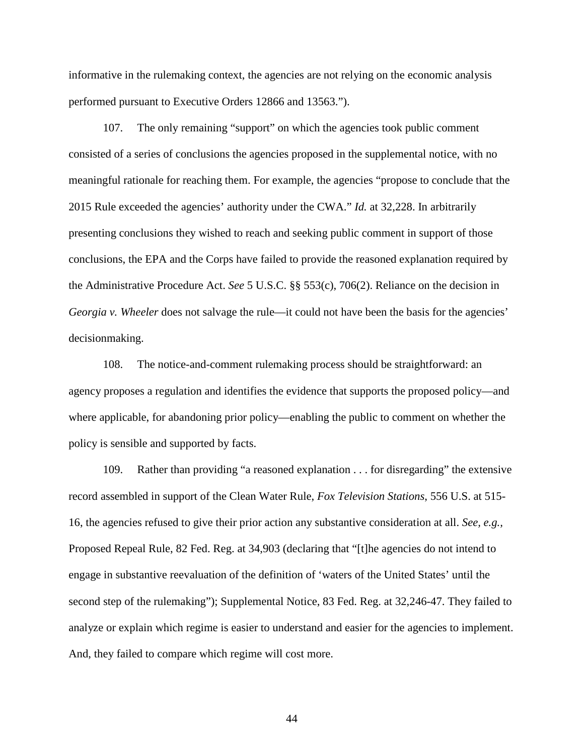informative in the rulemaking context, the agencies are not relying on the economic analysis performed pursuant to Executive Orders 12866 and 13563.").

107. The only remaining "support" on which the agencies took public comment consisted of a series of conclusions the agencies proposed in the supplemental notice, with no meaningful rationale for reaching them. For example, the agencies "propose to conclude that the 2015 Rule exceeded the agencies' authority under the CWA." *Id.* at 32,228. In arbitrarily presenting conclusions they wished to reach and seeking public comment in support of those conclusions, the EPA and the Corps have failed to provide the reasoned explanation required by the Administrative Procedure Act. *See* 5 U.S.C. §§ 553(c), 706(2). Reliance on the decision in *Georgia v. Wheeler* does not salvage the rule—it could not have been the basis for the agencies' decisionmaking.

108. The notice-and-comment rulemaking process should be straightforward: an agency proposes a regulation and identifies the evidence that supports the proposed policy—and where applicable, for abandoning prior policy—enabling the public to comment on whether the policy is sensible and supported by facts.

109. Rather than providing "a reasoned explanation . . . for disregarding" the extensive record assembled in support of the Clean Water Rule, *Fox Television Stations*, 556 U.S. at 515- 16, the agencies refused to give their prior action any substantive consideration at all. *See, e.g.,* Proposed Repeal Rule, 82 Fed. Reg. at 34,903 (declaring that "[t]he agencies do not intend to engage in substantive reevaluation of the definition of 'waters of the United States' until the second step of the rulemaking"); Supplemental Notice, 83 Fed. Reg. at 32,246-47. They failed to analyze or explain which regime is easier to understand and easier for the agencies to implement. And, they failed to compare which regime will cost more.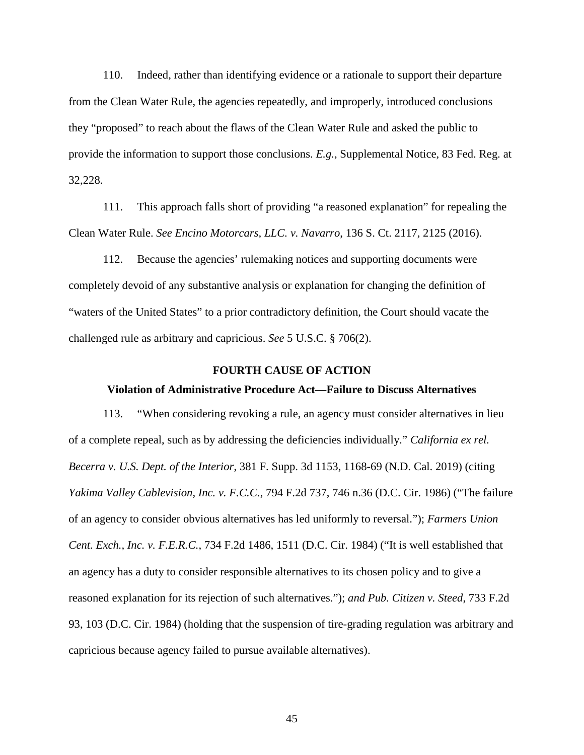110. Indeed, rather than identifying evidence or a rationale to support their departure from the Clean Water Rule, the agencies repeatedly, and improperly, introduced conclusions they "proposed" to reach about the flaws of the Clean Water Rule and asked the public to provide the information to support those conclusions. *E.g.*, Supplemental Notice, 83 Fed. Reg. at 32,228.

111. This approach falls short of providing "a reasoned explanation" for repealing the Clean Water Rule. *See Encino Motorcars, LLC. v. Navarro*, 136 S. Ct. 2117, 2125 (2016).

112. Because the agencies' rulemaking notices and supporting documents were completely devoid of any substantive analysis or explanation for changing the definition of "waters of the United States" to a prior contradictory definition, the Court should vacate the challenged rule as arbitrary and capricious. *See* 5 U.S.C. § 706(2).

#### **FOURTH CAUSE OF ACTION**

### **Violation of Administrative Procedure Act—Failure to Discuss Alternatives**

113. "When considering revoking a rule, an agency must consider alternatives in lieu of a complete repeal, such as by addressing the deficiencies individually." *California ex rel. Becerra v. U.S. Dept. of the Interior*, 381 F. Supp. 3d 1153, 1168-69 (N.D. Cal. 2019) (citing *Yakima Valley Cablevision, Inc. v. F.C.C.*, 794 F.2d 737, 746 n.36 (D.C. Cir. 1986) ("The failure of an agency to consider obvious alternatives has led uniformly to reversal."); *Farmers Union Cent. Exch., Inc. v. F.E.R.C.*, 734 F.2d 1486, 1511 (D.C. Cir. 1984) ("It is well established that an agency has a duty to consider responsible alternatives to its chosen policy and to give a reasoned explanation for its rejection of such alternatives."); *and Pub. Citizen v. Steed*, 733 F.2d 93, 103 (D.C. Cir. 1984) (holding that the suspension of tire-grading regulation was arbitrary and capricious because agency failed to pursue available alternatives).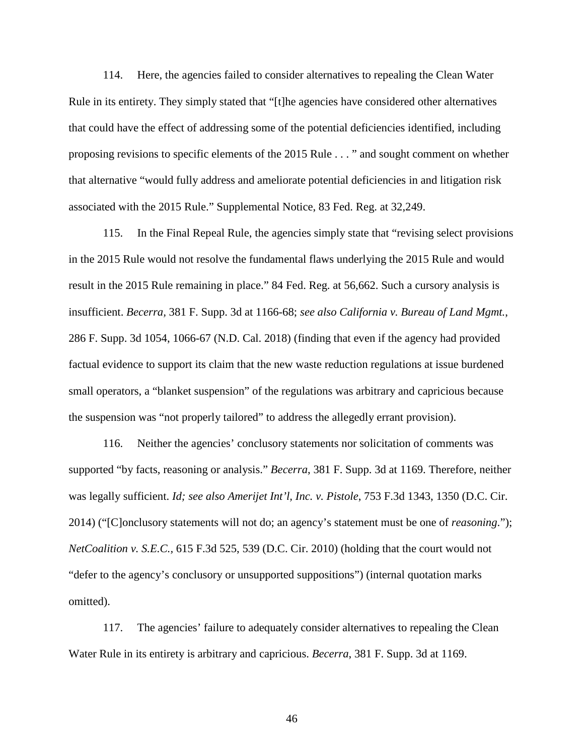114. Here, the agencies failed to consider alternatives to repealing the Clean Water Rule in its entirety. They simply stated that "[t]he agencies have considered other alternatives that could have the effect of addressing some of the potential deficiencies identified, including proposing revisions to specific elements of the 2015 Rule . . . " and sought comment on whether that alternative "would fully address and ameliorate potential deficiencies in and litigation risk associated with the 2015 Rule." Supplemental Notice, 83 Fed. Reg. at 32,249.

115. In the Final Repeal Rule, the agencies simply state that "revising select provisions in the 2015 Rule would not resolve the fundamental flaws underlying the 2015 Rule and would result in the 2015 Rule remaining in place." 84 Fed. Reg. at 56,662. Such a cursory analysis is insufficient. *Becerra,* 381 F. Supp. 3d at 1166-68; *see also California v. Bureau of Land Mgmt.*, 286 F. Supp. 3d 1054, 1066-67 (N.D. Cal. 2018) (finding that even if the agency had provided factual evidence to support its claim that the new waste reduction regulations at issue burdened small operators, a "blanket suspension" of the regulations was arbitrary and capricious because the suspension was "not properly tailored" to address the allegedly errant provision).

116. Neither the agencies' conclusory statements nor solicitation of comments was supported "by facts, reasoning or analysis." *Becerra*, 381 F. Supp. 3d at 1169. Therefore, neither was legally sufficient. *Id; see also Amerijet Int'l, Inc. v. Pistole*, 753 F.3d 1343, 1350 (D.C. Cir. 2014) ("[C]onclusory statements will not do; an agency's statement must be one of *reasoning*."); *NetCoalition v. S.E.C.,* 615 F.3d 525, 539 (D.C. Cir. 2010) (holding that the court would not "defer to the agency's conclusory or unsupported suppositions") (internal quotation marks omitted).

117. The agencies' failure to adequately consider alternatives to repealing the Clean Water Rule in its entirety is arbitrary and capricious. *Becerra*, 381 F. Supp. 3d at 1169.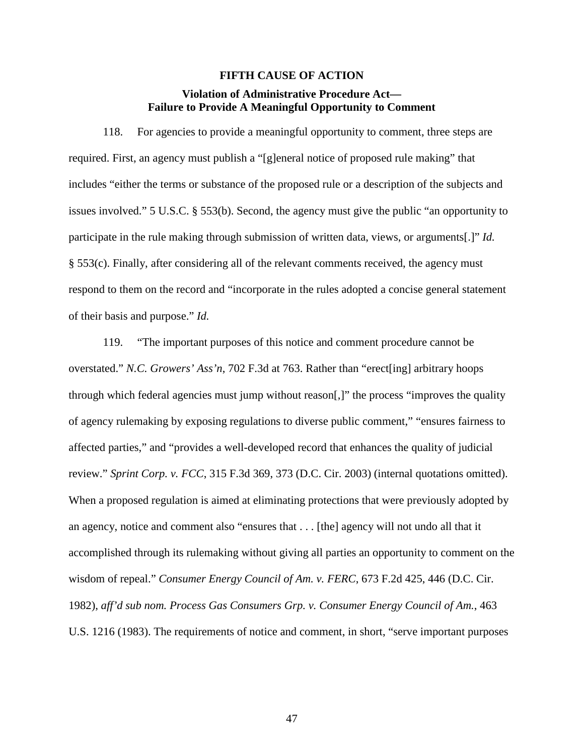### **FIFTH CAUSE OF ACTION**

# **Violation of Administrative Procedure Act— Failure to Provide A Meaningful Opportunity to Comment**

118. For agencies to provide a meaningful opportunity to comment, three steps are required. First, an agency must publish a "[g]eneral notice of proposed rule making" that includes "either the terms or substance of the proposed rule or a description of the subjects and issues involved." 5 U.S.C. § 553(b). Second, the agency must give the public "an opportunity to participate in the rule making through submission of written data, views, or arguments[.]" *Id.* § 553(c). Finally, after considering all of the relevant comments received, the agency must respond to them on the record and "incorporate in the rules adopted a concise general statement of their basis and purpose." *Id.*

119. "The important purposes of this notice and comment procedure cannot be overstated." *N.C. Growers' Ass'n*, 702 F.3d at 763. Rather than "erect[ing] arbitrary hoops through which federal agencies must jump without reason[,]" the process "improves the quality of agency rulemaking by exposing regulations to diverse public comment," "ensures fairness to affected parties," and "provides a well-developed record that enhances the quality of judicial review." *Sprint Corp. v. FCC*, 315 F.3d 369, 373 (D.C. Cir. 2003) (internal quotations omitted). When a proposed regulation is aimed at eliminating protections that were previously adopted by an agency, notice and comment also "ensures that . . . [the] agency will not undo all that it accomplished through its rulemaking without giving all parties an opportunity to comment on the wisdom of repeal." *Consumer Energy Council of Am. v. FERC*, 673 F.2d 425, 446 (D.C. Cir. 1982), *aff'd sub nom. Process Gas Consumers Grp. v. Consumer Energy Council of Am.*, 463 U.S. 1216 (1983). The requirements of notice and comment, in short, "serve important purposes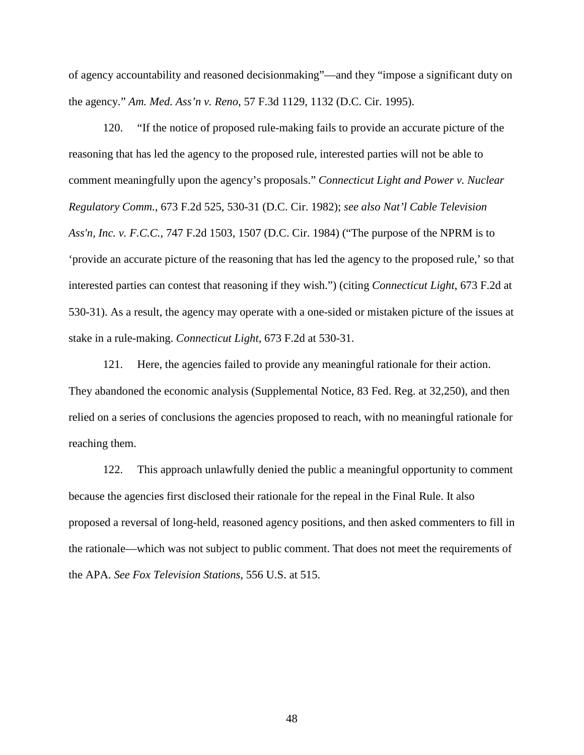of agency accountability and reasoned decisionmaking"—and they "impose a significant duty on the agency." *Am. Med. Ass'n v. Reno*, 57 F.3d 1129, 1132 (D.C. Cir. 1995).

120. "If the notice of proposed rule-making fails to provide an accurate picture of the reasoning that has led the agency to the proposed rule, interested parties will not be able to comment meaningfully upon the agency's proposals." *Connecticut Light and Power v. Nuclear Regulatory Comm.*, 673 F.2d 525, 530-31 (D.C. Cir. 1982); *see also Nat'l Cable Television Ass'n, Inc. v. F.C.C.*, 747 F.2d 1503, 1507 (D.C. Cir. 1984) ("The purpose of the NPRM is to 'provide an accurate picture of the reasoning that has led the agency to the proposed rule,' so that interested parties can contest that reasoning if they wish.") (citing *Connecticut Light*, 673 F.2d at 530-31). As a result, the agency may operate with a one-sided or mistaken picture of the issues at stake in a rule-making. *Connecticut Light*, 673 F.2d at 530-31.

121. Here, the agencies failed to provide any meaningful rationale for their action. They abandoned the economic analysis (Supplemental Notice, 83 Fed. Reg. at 32,250), and then relied on a series of conclusions the agencies proposed to reach, with no meaningful rationale for reaching them.

122. This approach unlawfully denied the public a meaningful opportunity to comment because the agencies first disclosed their rationale for the repeal in the Final Rule. It also proposed a reversal of long-held, reasoned agency positions, and then asked commenters to fill in the rationale—which was not subject to public comment. That does not meet the requirements of the APA. *See Fox Television Stations*, 556 U.S. at 515.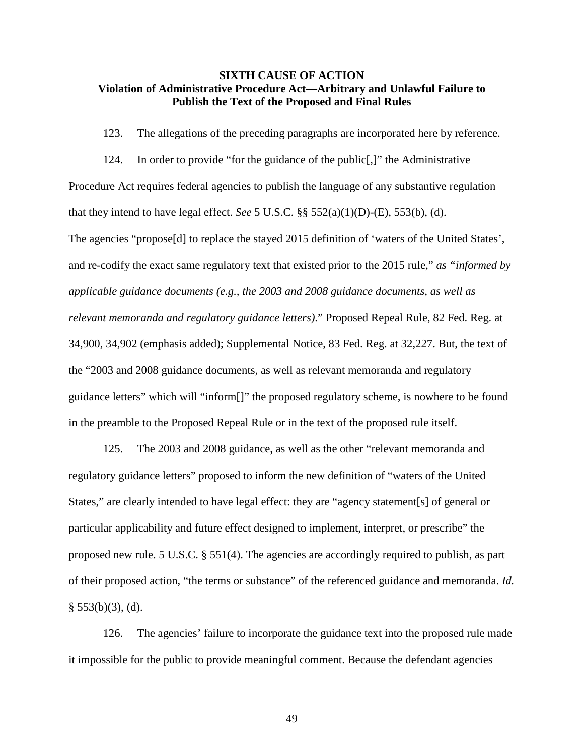## **SIXTH CAUSE OF ACTION Violation of Administrative Procedure Act—Arbitrary and Unlawful Failure to Publish the Text of the Proposed and Final Rules**

123. The allegations of the preceding paragraphs are incorporated here by reference.

124. In order to provide "for the guidance of the public[,]" the Administrative Procedure Act requires federal agencies to publish the language of any substantive regulation that they intend to have legal effect. *See* 5 U.S.C.  $\S$ § 552(a)(1)(D)-(E), 553(b), (d). The agencies "propose[d] to replace the stayed 2015 definition of 'waters of the United States', and re-codify the exact same regulatory text that existed prior to the 2015 rule," *as "informed by applicable guidance documents (e.g., the 2003 and 2008 guidance documents, as well as relevant memoranda and regulatory guidance letters)*." Proposed Repeal Rule, 82 Fed. Reg. at 34,900, 34,902 (emphasis added); Supplemental Notice, 83 Fed. Reg. at 32,227. But, the text of the "2003 and 2008 guidance documents, as well as relevant memoranda and regulatory guidance letters" which will "inform[]" the proposed regulatory scheme, is nowhere to be found in the preamble to the Proposed Repeal Rule or in the text of the proposed rule itself.

125. The 2003 and 2008 guidance, as well as the other "relevant memoranda and regulatory guidance letters" proposed to inform the new definition of "waters of the United States," are clearly intended to have legal effect: they are "agency statement[s] of general or particular applicability and future effect designed to implement, interpret, or prescribe" the proposed new rule. 5 U.S.C. § 551(4). The agencies are accordingly required to publish, as part of their proposed action, "the terms or substance" of the referenced guidance and memoranda. *Id.*  $§ 553(b)(3), (d).$ 

126. The agencies' failure to incorporate the guidance text into the proposed rule made it impossible for the public to provide meaningful comment. Because the defendant agencies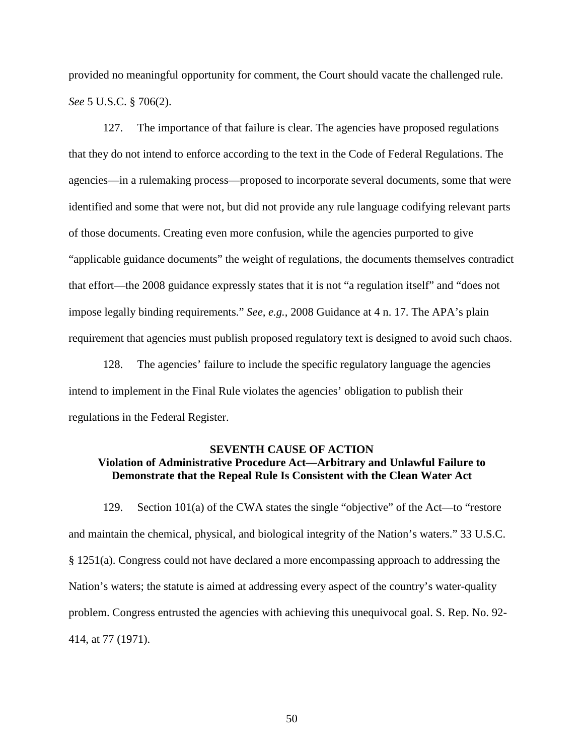provided no meaningful opportunity for comment, the Court should vacate the challenged rule. *See* 5 U.S.C. § 706(2).

127. The importance of that failure is clear. The agencies have proposed regulations that they do not intend to enforce according to the text in the Code of Federal Regulations. The agencies—in a rulemaking process—proposed to incorporate several documents, some that were identified and some that were not, but did not provide any rule language codifying relevant parts of those documents. Creating even more confusion, while the agencies purported to give "applicable guidance documents" the weight of regulations, the documents themselves contradict that effort—the 2008 guidance expressly states that it is not "a regulation itself" and "does not impose legally binding requirements." *See, e.g.*, 2008 Guidance at 4 n. 17. The APA's plain requirement that agencies must publish proposed regulatory text is designed to avoid such chaos.

128. The agencies' failure to include the specific regulatory language the agencies intend to implement in the Final Rule violates the agencies' obligation to publish their regulations in the Federal Register.

# **SEVENTH CAUSE OF ACTION Violation of Administrative Procedure Act—Arbitrary and Unlawful Failure to Demonstrate that the Repeal Rule Is Consistent with the Clean Water Act**

129. Section 101(a) of the CWA states the single "objective" of the Act—to "restore and maintain the chemical, physical, and biological integrity of the Nation's waters." 33 U.S.C. § 1251(a). Congress could not have declared a more encompassing approach to addressing the Nation's waters; the statute is aimed at addressing every aspect of the country's water-quality problem. Congress entrusted the agencies with achieving this unequivocal goal. S. Rep. No. 92- 414, at 77 (1971).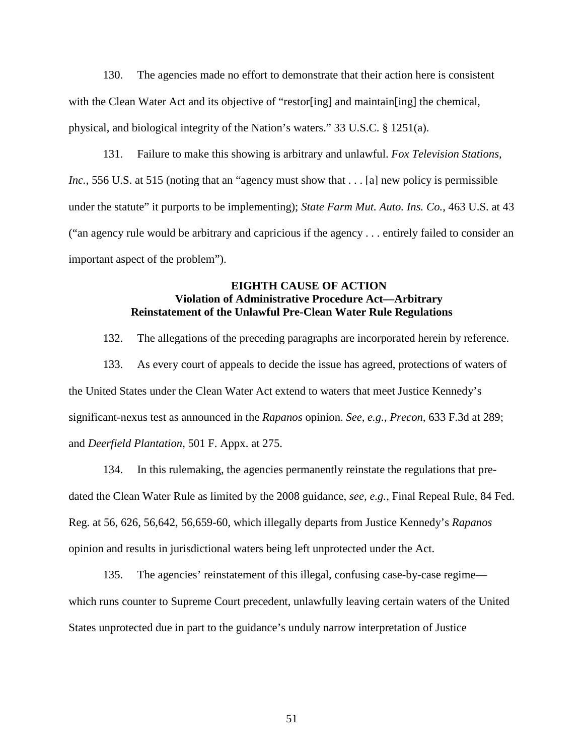130. The agencies made no effort to demonstrate that their action here is consistent with the Clean Water Act and its objective of "restor[ing] and maintain[ing] the chemical, physical, and biological integrity of the Nation's waters." 33 U.S.C. § 1251(a).

131. Failure to make this showing is arbitrary and unlawful. *Fox Television Stations, Inc.*, 556 U.S. at 515 (noting that an "agency must show that . . . [a] new policy is permissible under the statute" it purports to be implementing); *State Farm Mut. Auto. Ins. Co.*, 463 U.S. at 43 ("an agency rule would be arbitrary and capricious if the agency . . . entirely failed to consider an important aspect of the problem").

# **EIGHTH CAUSE OF ACTION Violation of Administrative Procedure Act—Arbitrary Reinstatement of the Unlawful Pre-Clean Water Rule Regulations**

132. The allegations of the preceding paragraphs are incorporated herein by reference.

133. As every court of appeals to decide the issue has agreed, protections of waters of the United States under the Clean Water Act extend to waters that meet Justice Kennedy's significant-nexus test as announced in the *Rapanos* opinion. *See, e.g.*, *Precon*, 633 F.3d at 289; and *Deerfield Plantation*, 501 F. Appx. at 275.

134. In this rulemaking, the agencies permanently reinstate the regulations that predated the Clean Water Rule as limited by the 2008 guidance, *see, e.g.*, Final Repeal Rule, 84 Fed. Reg. at 56, 626, 56,642, 56,659-60, which illegally departs from Justice Kennedy's *Rapanos*  opinion and results in jurisdictional waters being left unprotected under the Act.

135. The agencies' reinstatement of this illegal, confusing case-by-case regime which runs counter to Supreme Court precedent, unlawfully leaving certain waters of the United States unprotected due in part to the guidance's unduly narrow interpretation of Justice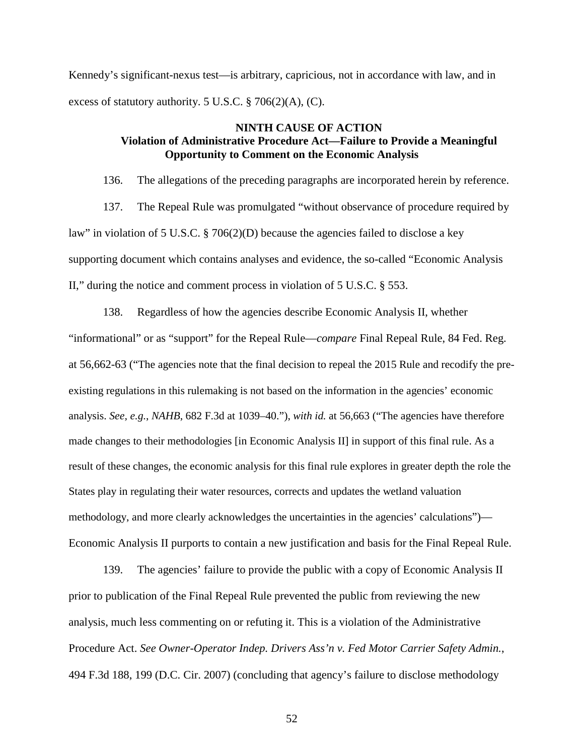Kennedy's significant-nexus test—is arbitrary, capricious, not in accordance with law, and in excess of statutory authority. 5 U.S.C. § 706(2)(A), (C).

# **NINTH CAUSE OF ACTION Violation of Administrative Procedure Act—Failure to Provide a Meaningful Opportunity to Comment on the Economic Analysis**

136. The allegations of the preceding paragraphs are incorporated herein by reference.

137. The Repeal Rule was promulgated "without observance of procedure required by law" in violation of 5 U.S.C. § 706(2)(D) because the agencies failed to disclose a key supporting document which contains analyses and evidence, the so-called "Economic Analysis II," during the notice and comment process in violation of 5 U.S.C. § 553.

138. Regardless of how the agencies describe Economic Analysis II, whether "informational" or as "support" for the Repeal Rule—*compare* Final Repeal Rule, 84 Fed. Reg. at 56,662-63 ("The agencies note that the final decision to repeal the 2015 Rule and recodify the preexisting regulations in this rulemaking is not based on the information in the agencies' economic analysis. *See, e.g.*, *NAHB*, 682 F.3d at 1039–40."), *with id.* at 56,663 ("The agencies have therefore made changes to their methodologies [in Economic Analysis II] in support of this final rule. As a result of these changes, the economic analysis for this final rule explores in greater depth the role the States play in regulating their water resources, corrects and updates the wetland valuation methodology, and more clearly acknowledges the uncertainties in the agencies' calculations")— Economic Analysis II purports to contain a new justification and basis for the Final Repeal Rule.

139. The agencies' failure to provide the public with a copy of Economic Analysis II prior to publication of the Final Repeal Rule prevented the public from reviewing the new analysis, much less commenting on or refuting it. This is a violation of the Administrative Procedure Act. *See Owner-Operator Indep. Drivers Ass'n v. Fed Motor Carrier Safety Admin.*, 494 F.3d 188, 199 (D.C. Cir. 2007) (concluding that agency's failure to disclose methodology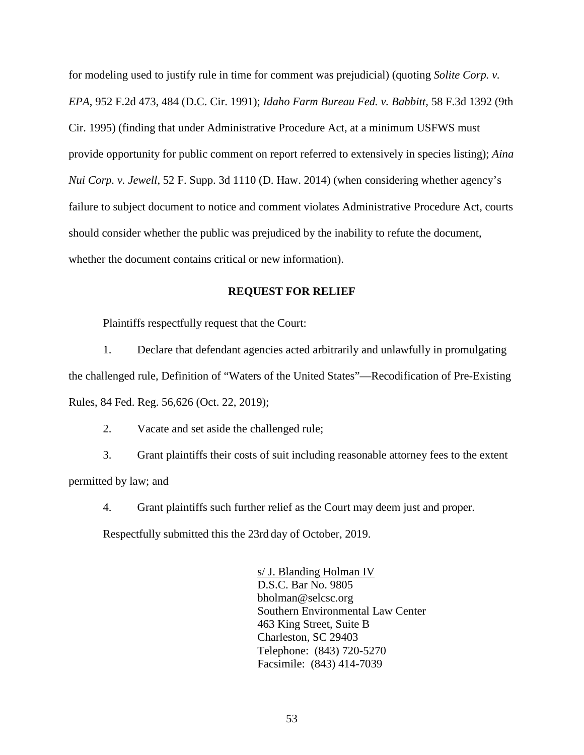for modeling used to justify rule in time for comment was prejudicial) (quoting *Solite Corp. v. EPA*, 952 F.2d 473, 484 (D.C. Cir. 1991); *Idaho Farm Bureau Fed. v. Babbitt,* 58 F.3d 1392 (9th Cir. 1995) (finding that under Administrative Procedure Act, at a minimum USFWS must provide opportunity for public comment on report referred to extensively in species listing); *Aina Nui Corp. v. Jewell*, 52 F. Supp. 3d 1110 (D. Haw. 2014) (when considering whether agency's failure to subject document to notice and comment violates Administrative Procedure Act, courts should consider whether the public was prejudiced by the inability to refute the document, whether the document contains critical or new information).

### **REQUEST FOR RELIEF**

Plaintiffs respectfully request that the Court:

1. Declare that defendant agencies acted arbitrarily and unlawfully in promulgating the challenged rule, Definition of "Waters of the United States"—Recodification of Pre-Existing Rules, 84 Fed. Reg. 56,626 (Oct. 22, 2019);

2. Vacate and set aside the challenged rule;

3. Grant plaintiffs their costs of suit including reasonable attorney fees to the extent permitted by law; and

4. Grant plaintiffs such further relief as the Court may deem just and proper.

Respectfully submitted this the 23rd day of October, 2019.

s/ J. Blanding Holman IV D.S.C. Bar No. 9805 bholman@selcsc.org Southern Environmental Law Center 463 King Street, Suite B Charleston, SC 29403 Telephone: (843) 720-5270 Facsimile: (843) 414-7039